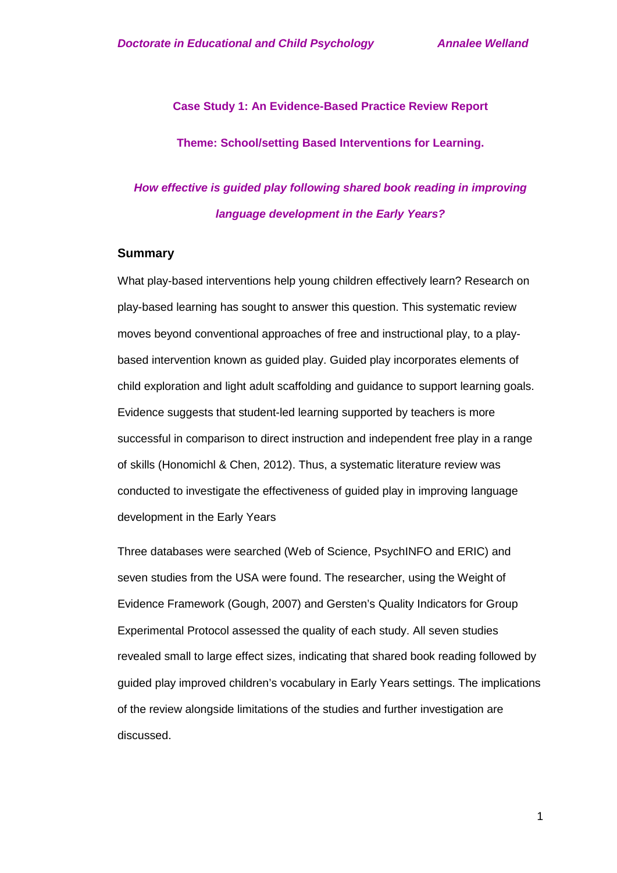**Case Study 1: An Evidence-Based Practice Review Report**

**Theme: School/setting Based Interventions for Learning.**

# *How effective is guided play following shared book reading in improving language development in the Early Years?*

#### **Summary**

What play-based interventions help young children effectively learn? Research on play-based learning has sought to answer this question. This systematic review moves beyond conventional approaches of free and instructional play, to a playbased intervention known as guided play. Guided play incorporates elements of child exploration and light adult scaffolding and guidance to support learning goals. Evidence suggests that student-led learning supported by teachers is more successful in comparison to direct instruction and independent free play in a range of skills (Honomichl & Chen, 2012). Thus, a systematic literature review was conducted to investigate the effectiveness of guided play in improving language development in the Early Years

Three databases were searched (Web of Science, PsychINFO and ERIC) and seven studies from the USA were found. The researcher, using the Weight of Evidence Framework (Gough, 2007) and Gersten's Quality Indicators for Group Experimental Protocol assessed the quality of each study. All seven studies revealed small to large effect sizes, indicating that shared book reading followed by guided play improved children's vocabulary in Early Years settings. The implications of the review alongside limitations of the studies and further investigation are discussed.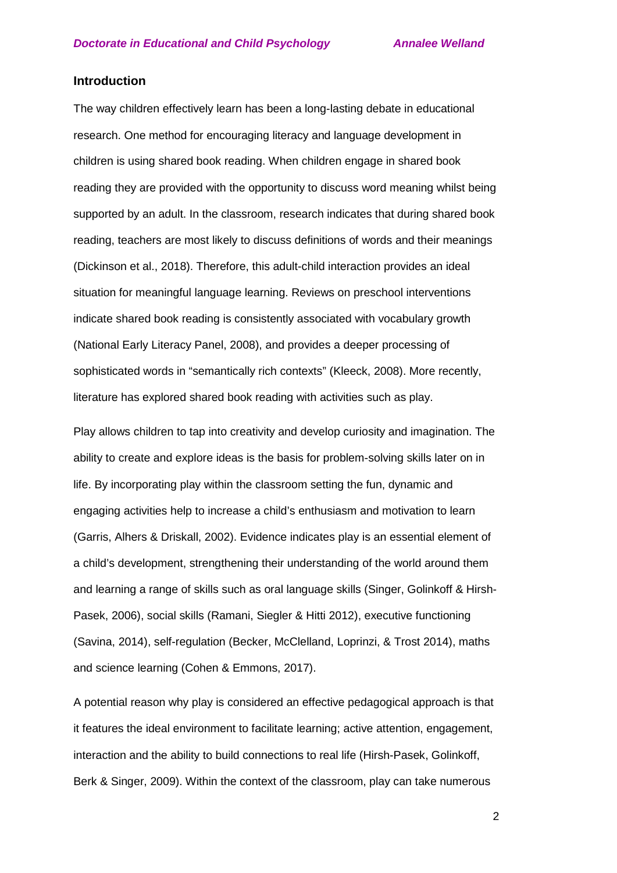## **Introduction**

The way children effectively learn has been a long-lasting debate in educational research. One method for encouraging literacy and language development in children is using shared book reading. When children engage in shared book reading they are provided with the opportunity to discuss word meaning whilst being supported by an adult. In the classroom, research indicates that during shared book reading, teachers are most likely to discuss definitions of words and their meanings (Dickinson et al., 2018). Therefore, this adult-child interaction provides an ideal situation for meaningful language learning. Reviews on preschool interventions indicate shared book reading is consistently associated with vocabulary growth (National Early Literacy Panel, 2008), and provides a deeper processing of sophisticated words in "semantically rich contexts" (Kleeck, 2008). More recently, literature has explored shared book reading with activities such as play.

Play allows children to tap into creativity and develop curiosity and imagination. The ability to create and explore ideas is the basis for problem-solving skills later on in life. By incorporating play within the classroom setting the fun, dynamic and engaging activities help to increase a child's enthusiasm and motivation to learn (Garris, Alhers & Driskall, 2002). Evidence indicates play is an essential element of a child's development, strengthening their understanding of the world around them and learning a range of skills such as oral language skills (Singer, Golinkoff & Hirsh-Pasek, 2006), social skills (Ramani, Siegler & Hitti 2012), executive functioning (Savina, 2014), self-regulation (Becker, McClelland, Loprinzi, & Trost 2014), maths and science learning (Cohen & Emmons, 2017).

A potential reason why play is considered an effective pedagogical approach is that it features the ideal environment to facilitate learning; active attention, engagement, interaction and the ability to build connections to real life (Hirsh-Pasek, Golinkoff, Berk & Singer, 2009). Within the context of the classroom, play can take numerous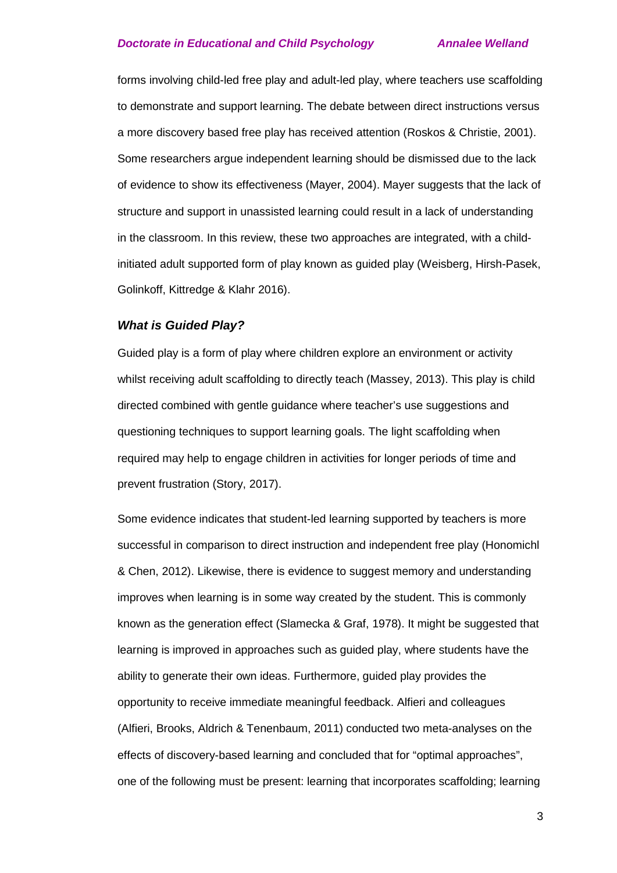forms involving child-led free play and adult-led play, where teachers use scaffolding to demonstrate and support learning. The debate between direct instructions versus a more discovery based free play has received attention (Roskos & Christie, 2001). Some researchers argue independent learning should be dismissed due to the lack of evidence to show its effectiveness (Mayer, 2004). Mayer suggests that the lack of structure and support in unassisted learning could result in a lack of understanding in the classroom. In this review, these two approaches are integrated, with a childinitiated adult supported form of play known as guided play (Weisberg, Hirsh-Pasek, Golinkoff, Kittredge & Klahr 2016).

### *What is Guided Play?*

Guided play is a form of play where children explore an environment or activity whilst receiving adult scaffolding to directly teach (Massey, 2013). This play is child directed combined with gentle guidance where teacher's use suggestions and questioning techniques to support learning goals. The light scaffolding when required may help to engage children in activities for longer periods of time and prevent frustration (Story, 2017).

Some evidence indicates that student-led learning supported by teachers is more successful in comparison to direct instruction and independent free play (Honomichl & Chen, 2012). Likewise, there is evidence to suggest memory and understanding improves when learning is in some way created by the student. This is commonly known as the generation effect (Slamecka & Graf, 1978). It might be suggested that learning is improved in approaches such as guided play, where students have the ability to generate their own ideas. Furthermore, guided play provides the opportunity to receive immediate meaningful feedback. Alfieri and colleagues (Alfieri, Brooks, Aldrich & Tenenbaum, 2011) conducted two meta-analyses on the effects of discovery-based learning and concluded that for "optimal approaches", one of the following must be present: learning that incorporates scaffolding; learning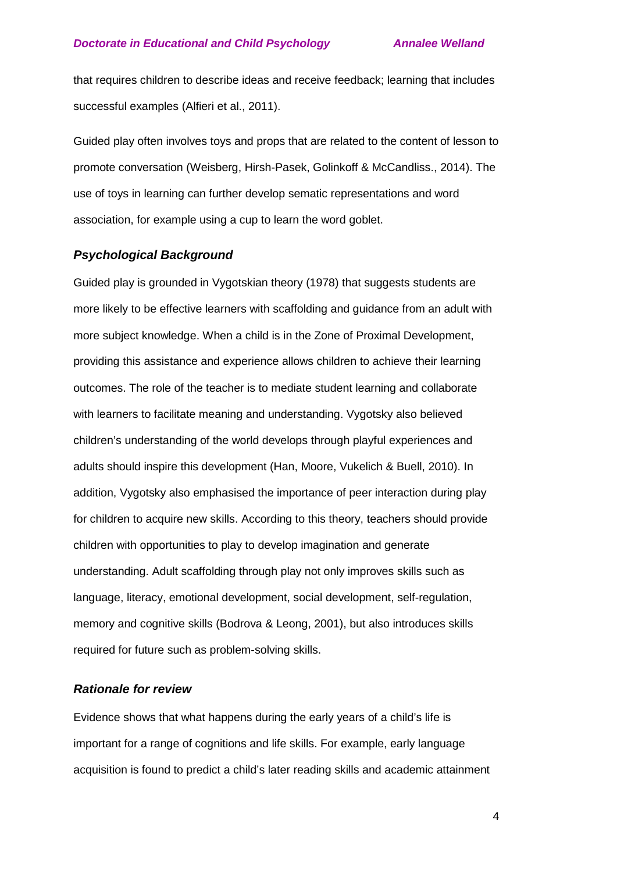that requires children to describe ideas and receive feedback; learning that includes successful examples (Alfieri et al., 2011).

Guided play often involves toys and props that are related to the content of lesson to promote conversation (Weisberg, Hirsh-Pasek, Golinkoff & McCandliss., 2014). The use of toys in learning can further develop sematic representations and word association, for example using a cup to learn the word goblet.

## *Psychological Background*

Guided play is grounded in Vygotskian theory (1978) that suggests students are more likely to be effective learners with scaffolding and guidance from an adult with more subject knowledge. When a child is in the Zone of Proximal Development, providing this assistance and experience allows children to achieve their learning outcomes. The role of the teacher is to mediate student learning and collaborate with learners to facilitate meaning and understanding. Vygotsky also believed children's understanding of the world develops through playful experiences and adults should inspire this development (Han, Moore, Vukelich & Buell, 2010). In addition, Vygotsky also emphasised the importance of peer interaction during play for children to acquire new skills. According to this theory, teachers should provide children with opportunities to play to develop imagination and generate understanding. Adult scaffolding through play not only improves skills such as language, literacy, emotional development, social development, self-regulation, memory and cognitive skills (Bodrova & Leong, 2001), but also introduces skills required for future such as problem-solving skills.

#### *Rationale for review*

Evidence shows that what happens during the early years of a child's life is important for a range of cognitions and life skills. For example, early language acquisition is found to predict a child's later reading skills and academic attainment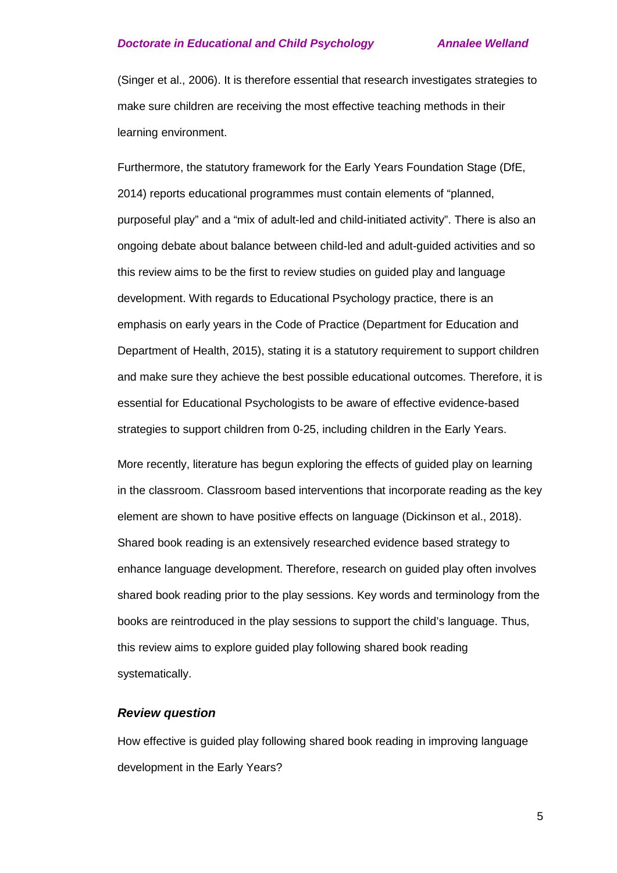(Singer et al., 2006). It is therefore essential that research investigates strategies to make sure children are receiving the most effective teaching methods in their learning environment.

Furthermore, the statutory framework for the Early Years Foundation Stage (DfE, 2014) reports educational programmes must contain elements of "planned, purposeful play" and a "mix of adult-led and child-initiated activity". There is also an ongoing debate about balance between child-led and adult-guided activities and so this review aims to be the first to review studies on guided play and language development. With regards to Educational Psychology practice, there is an emphasis on early years in the Code of Practice (Department for Education and Department of Health, 2015), stating it is a statutory requirement to support children and make sure they achieve the best possible educational outcomes. Therefore, it is essential for Educational Psychologists to be aware of effective evidence-based strategies to support children from 0-25, including children in the Early Years.

More recently, literature has begun exploring the effects of guided play on learning in the classroom. Classroom based interventions that incorporate reading as the key element are shown to have positive effects on language (Dickinson et al., 2018). Shared book reading is an extensively researched evidence based strategy to enhance language development. Therefore, research on guided play often involves shared book reading prior to the play sessions. Key words and terminology from the books are reintroduced in the play sessions to support the child's language. Thus, this review aims to explore guided play following shared book reading systematically.

#### *Review question*

How effective is guided play following shared book reading in improving language development in the Early Years?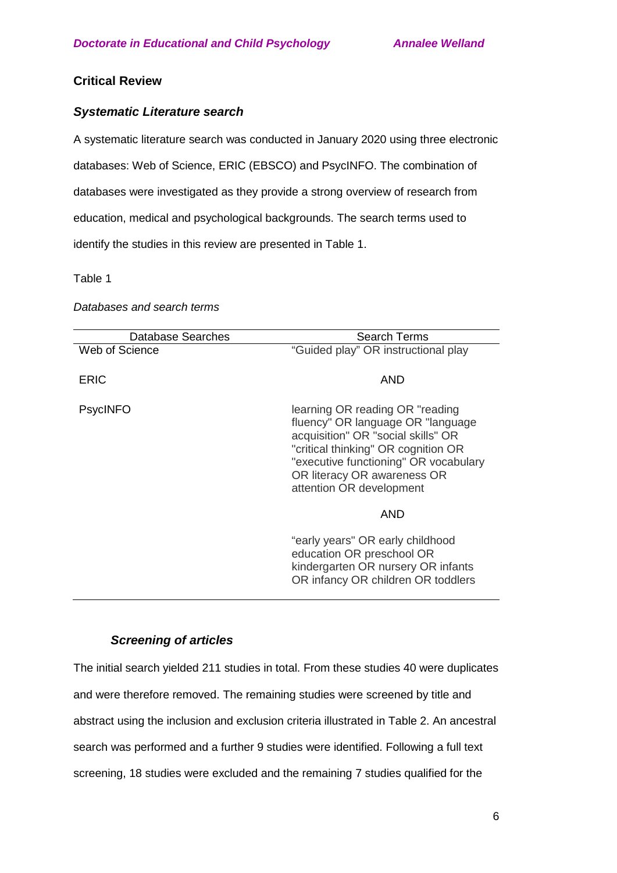# **Critical Review**

## *Systematic Literature search*

A systematic literature search was conducted in January 2020 using three electronic databases: Web of Science, ERIC (EBSCO) and PsycINFO. The combination of databases were investigated as they provide a strong overview of research from education, medical and psychological backgrounds. The search terms used to identify the studies in this review are presented in Table 1.

Table 1

#### *Databases and search terms*

| Database Searches | <b>Search Terms</b>                                                                                                                                                                                                                                    |
|-------------------|--------------------------------------------------------------------------------------------------------------------------------------------------------------------------------------------------------------------------------------------------------|
| Web of Science    | "Guided play" OR instructional play                                                                                                                                                                                                                    |
| ERIC              | AND                                                                                                                                                                                                                                                    |
| <b>PsycINFO</b>   | learning OR reading OR "reading<br>fluency" OR language OR "language"<br>acquisition" OR "social skills" OR<br>"critical thinking" OR cognition OR<br>"executive functioning" OR vocabulary<br>OR literacy OR awareness OR<br>attention OR development |
|                   | <b>AND</b>                                                                                                                                                                                                                                             |
|                   | "early years" OR early childhood<br>education OR preschool OR<br>kindergarten OR nursery OR infants<br>OR infancy OR children OR toddlers                                                                                                              |

## *Screening of articles*

The initial search yielded 211 studies in total. From these studies 40 were duplicates and were therefore removed. The remaining studies were screened by title and abstract using the inclusion and exclusion criteria illustrated in Table 2. An ancestral search was performed and a further 9 studies were identified. Following a full text screening, 18 studies were excluded and the remaining 7 studies qualified for the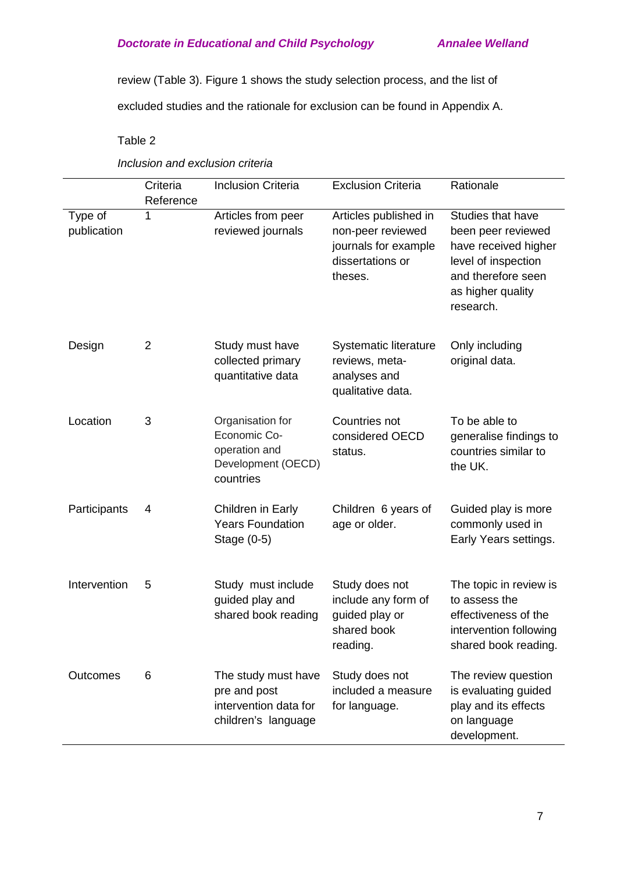review (Table 3). Figure 1 shows the study selection process, and the list of

excluded studies and the rationale for exclusion can be found in Appendix A.

Table 2

*Inclusion and exclusion criteria*

|                        | Criteria<br>Reference | <b>Inclusion Criteria</b>                                                            | <b>Exclusion Criteria</b>                                                                         | Rationale                                                                                                                                      |
|------------------------|-----------------------|--------------------------------------------------------------------------------------|---------------------------------------------------------------------------------------------------|------------------------------------------------------------------------------------------------------------------------------------------------|
| Type of<br>publication | 1                     | Articles from peer<br>reviewed journals                                              | Articles published in<br>non-peer reviewed<br>journals for example<br>dissertations or<br>theses. | Studies that have<br>been peer reviewed<br>have received higher<br>level of inspection<br>and therefore seen<br>as higher quality<br>research. |
| Design                 | $\overline{2}$        | Study must have<br>collected primary<br>quantitative data                            | <b>Systematic literature</b><br>reviews, meta-<br>analyses and<br>qualitative data.               | Only including<br>original data.                                                                                                               |
| Location               | 3                     | Organisation for<br>Economic Co-<br>operation and<br>Development (OECD)<br>countries | Countries not<br>considered OECD<br>status.                                                       | To be able to<br>generalise findings to<br>countries similar to<br>the UK.                                                                     |
| Participants           | 4                     | Children in Early<br><b>Years Foundation</b><br>Stage (0-5)                          | Children 6 years of<br>age or older.                                                              | Guided play is more<br>commonly used in<br>Early Years settings.                                                                               |
| Intervention           | 5                     | Study must include<br>guided play and<br>shared book reading                         | Study does not<br>include any form of<br>guided play or<br>shared book<br>reading.                | The topic in review is<br>to assess the<br>effectiveness of the<br>intervention following<br>shared book reading.                              |
| Outcomes               | 6                     | The study must have<br>pre and post<br>intervention data for<br>children's language  | Study does not<br>included a measure<br>for language.                                             | The review question<br>is evaluating guided<br>play and its effects<br>on language<br>development.                                             |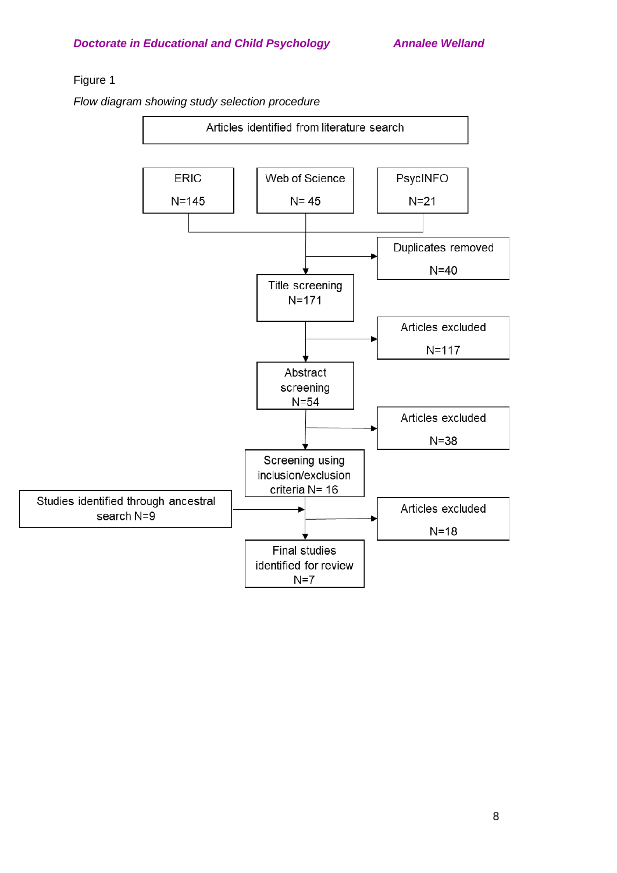# Figure 1

*Flow diagram showing study selection procedure* 

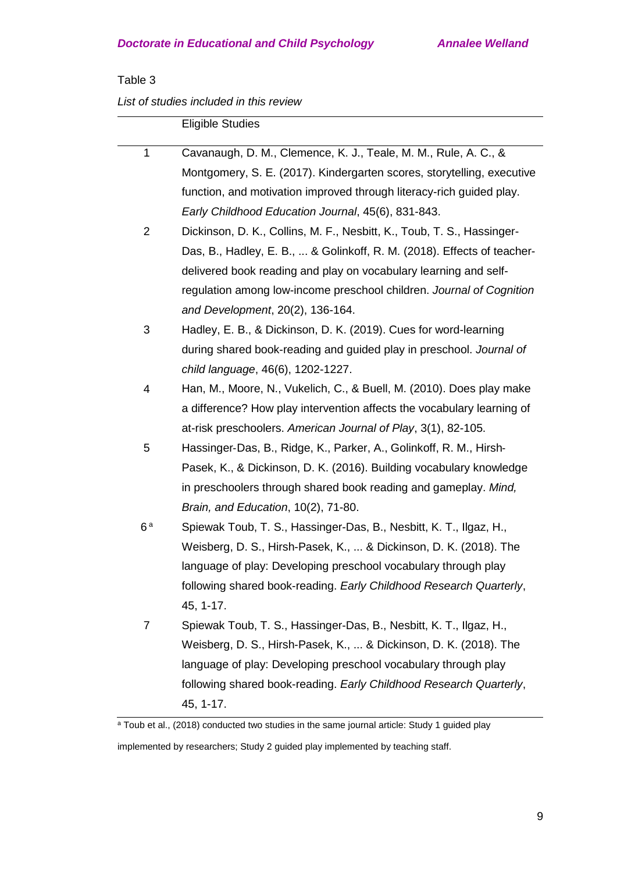# Table 3

*List of studies included in this review*

|                | <b>Eligible Studies</b>                                                 |
|----------------|-------------------------------------------------------------------------|
| $\mathbf{1}$   | Cavanaugh, D. M., Clemence, K. J., Teale, M. M., Rule, A. C., &         |
|                |                                                                         |
|                | Montgomery, S. E. (2017). Kindergarten scores, storytelling, executive  |
|                | function, and motivation improved through literacy-rich guided play.    |
|                | Early Childhood Education Journal, 45(6), 831-843.                      |
| $\overline{2}$ | Dickinson, D. K., Collins, M. F., Nesbitt, K., Toub, T. S., Hassinger-  |
|                | Das, B., Hadley, E. B.,  & Golinkoff, R. M. (2018). Effects of teacher- |
|                | delivered book reading and play on vocabulary learning and self-        |
|                | regulation among low-income preschool children. Journal of Cognition    |
|                | and Development, 20(2), 136-164.                                        |
| 3              | Hadley, E. B., & Dickinson, D. K. (2019). Cues for word-learning        |
|                | during shared book-reading and guided play in preschool. Journal of     |
|                | child language, 46(6), 1202-1227.                                       |
| 4              | Han, M., Moore, N., Vukelich, C., & Buell, M. (2010). Does play make    |
|                | a difference? How play intervention affects the vocabulary learning of  |
|                | at-risk preschoolers. American Journal of Play, 3(1), 82-105.           |
| 5              | Hassinger-Das, B., Ridge, K., Parker, A., Golinkoff, R. M., Hirsh-      |
|                | Pasek, K., & Dickinson, D. K. (2016). Building vocabulary knowledge     |
|                | in preschoolers through shared book reading and gameplay. Mind,         |
|                | Brain, and Education, 10(2), 71-80.                                     |
| 6a             | Spiewak Toub, T. S., Hassinger-Das, B., Nesbitt, K. T., Ilgaz, H.,      |
|                | Weisberg, D. S., Hirsh-Pasek, K.,  & Dickinson, D. K. (2018). The       |
|                | language of play: Developing preschool vocabulary through play          |
|                | following shared book-reading. Early Childhood Research Quarterly,      |
|                | 45, 1-17.                                                               |
| $\overline{7}$ | Spiewak Toub, T. S., Hassinger-Das, B., Nesbitt, K. T., Ilgaz, H.,      |
|                | Weisberg, D. S., Hirsh-Pasek, K.,  & Dickinson, D. K. (2018). The       |
|                | language of play: Developing preschool vocabulary through play          |
|                | following shared book-reading. Early Childhood Research Quarterly,      |
|                | 45, 1-17.                                                               |
|                |                                                                         |

<sup>a</sup> Toub et al., (2018) conducted two studies in the same journal article: Study 1 guided play

implemented by researchers; Study 2 guided play implemented by teaching staff.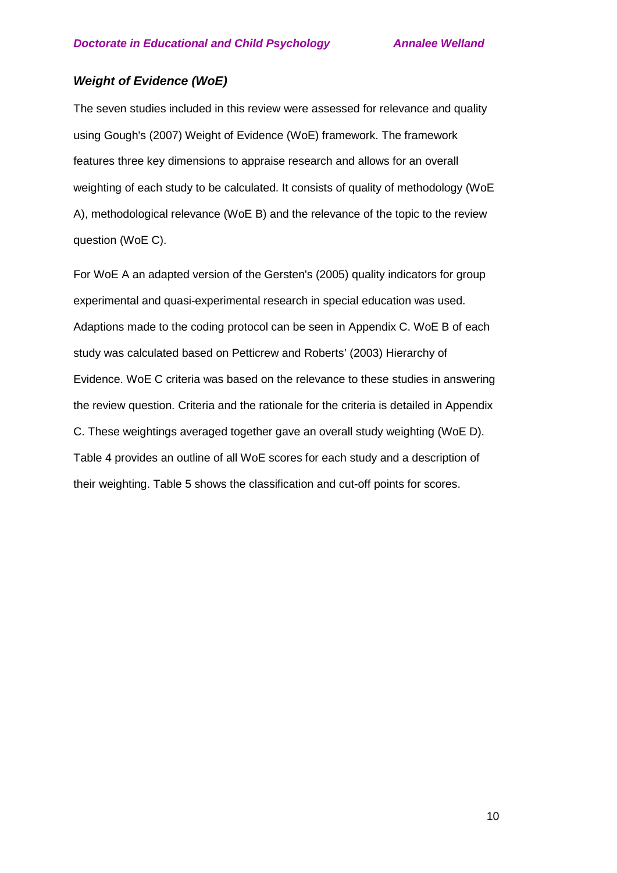# *Weight of Evidence (WoE)*

The seven studies included in this review were assessed for relevance and quality using Gough's (2007) Weight of Evidence (WoE) framework. The framework features three key dimensions to appraise research and allows for an overall weighting of each study to be calculated. It consists of quality of methodology (WoE A), methodological relevance (WoE B) and the relevance of the topic to the review question (WoE C).

For WoE A an adapted version of the Gersten's (2005) quality indicators for group experimental and quasi-experimental research in special education was used. Adaptions made to the coding protocol can be seen in Appendix C. WoE B of each study was calculated based on Petticrew and Roberts' (2003) Hierarchy of Evidence. WoE C criteria was based on the relevance to these studies in answering the review question. Criteria and the rationale for the criteria is detailed in Appendix C. These weightings averaged together gave an overall study weighting (WoE D). Table 4 provides an outline of all WoE scores for each study and a description of their weighting. Table 5 shows the classification and cut-off points for scores.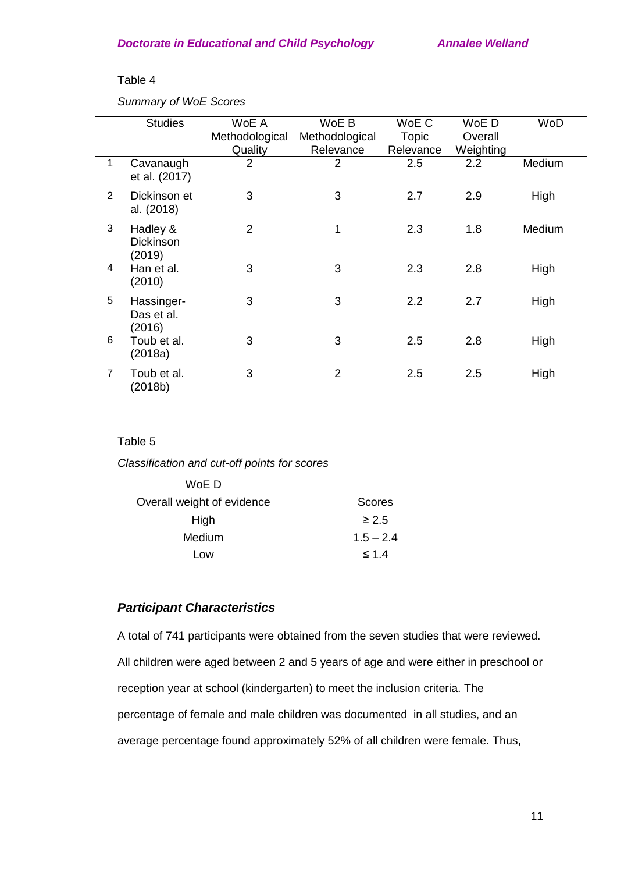#### Table 4

*Summary of WoE Scores*

|                | <b>Studies</b>                         | WoE A<br>Methodological | WoE B<br>Methodological | WoE C<br>Topic | WoE D<br>Overall | WoD    |
|----------------|----------------------------------------|-------------------------|-------------------------|----------------|------------------|--------|
|                |                                        | Quality                 | Relevance               | Relevance      | Weighting        |        |
| 1              | Cavanaugh<br>et al. (2017)             | $\overline{2}$          | $\overline{2}$          | 2.5            | 2.2              | Medium |
| $\overline{2}$ | Dickinson et<br>al. (2018)             | 3                       | 3                       | 2.7            | 2.9              | High   |
| 3              | Hadley &<br><b>Dickinson</b><br>(2019) | $\overline{2}$          | 1                       | 2.3            | 1.8              | Medium |
| 4              | Han et al.<br>(2010)                   | 3                       | 3                       | 2.3            | 2.8              | High   |
| 5              | Hassinger-<br>Das et al.<br>(2016)     | 3                       | 3                       | 2.2            | 2.7              | High   |
| 6              | Toub et al.<br>(2018a)                 | 3                       | 3                       | 2.5            | 2.8              | High   |
| $\overline{7}$ | Toub et al.<br>(2018b)                 | 3                       | 2                       | 2.5            | 2.5              | High   |

## Table 5

*Classification and cut-off points for scores*

| WoE D                      |             |
|----------------------------|-------------|
| Overall weight of evidence | Scores      |
| High                       | $\geq 2.5$  |
| <b>Medium</b>              | $1.5 - 2.4$ |
| Low                        | $\leq 1.4$  |

# *Participant Characteristics*

A total of 741 participants were obtained from the seven studies that were reviewed. All children were aged between 2 and 5 years of age and were either in preschool or reception year at school (kindergarten) to meet the inclusion criteria. The percentage of female and male children was documented in all studies, and an average percentage found approximately 52% of all children were female. Thus,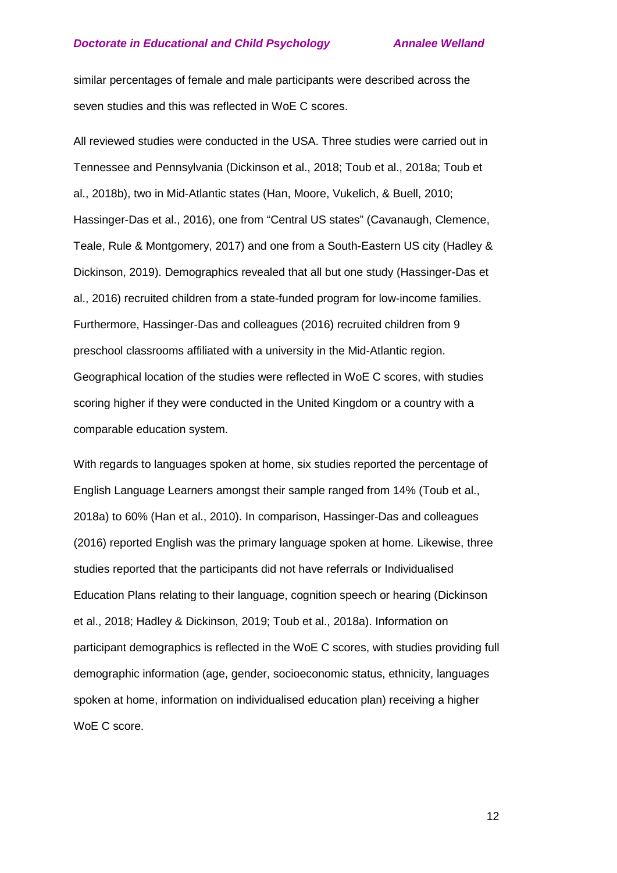similar percentages of female and male participants were described across the seven studies and this was reflected in WoE C scores.

All reviewed studies were conducted in the USA. Three studies were carried out in Tennessee and Pennsylvania (Dickinson et al., 2018; Toub et al., 2018a; Toub et al., 2018b), two in Mid-Atlantic states (Han, Moore, Vukelich, & Buell, 2010; Hassinger-Das et al., 2016), one from "Central US states" (Cavanaugh, Clemence, Teale, Rule & Montgomery, 2017) and one from a South-Eastern US city (Hadley & Dickinson, 2019). Demographics revealed that all but one study (Hassinger-Das et al., 2016) recruited children from a state-funded program for low-income families. Furthermore, Hassinger-Das and colleagues (2016) recruited children from 9 preschool classrooms affiliated with a university in the Mid-Atlantic region. Geographical location of the studies were reflected in WoE C scores, with studies scoring higher if they were conducted in the United Kingdom or a country with a comparable education system.

With regards to languages spoken at home, six studies reported the percentage of English Language Learners amongst their sample ranged from 14% (Toub et al., 2018a) to 60% (Han et al., 2010). In comparison, Hassinger-Das and colleagues (2016) reported English was the primary language spoken at home. Likewise, three studies reported that the participants did not have referrals or Individualised Education Plans relating to their language, cognition speech or hearing (Dickinson et al., 2018; Hadley & Dickinson, 2019; Toub et al., 2018a). Information on participant demographics is reflected in the WoE C scores, with studies providing full demographic information (age, gender, socioeconomic status, ethnicity, languages spoken at home, information on individualised education plan) receiving a higher WoE C score.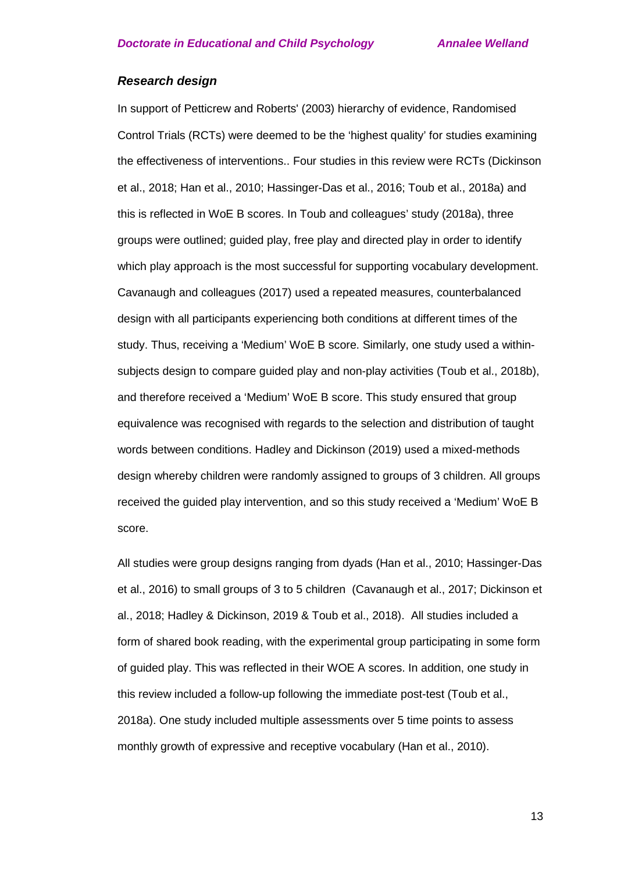#### *Research design*

In support of Petticrew and Roberts' (2003) hierarchy of evidence, Randomised Control Trials (RCTs) were deemed to be the 'highest quality' for studies examining the effectiveness of interventions.. Four studies in this review were RCTs (Dickinson et al., 2018; Han et al., 2010; Hassinger-Das et al., 2016; Toub et al., 2018a) and this is reflected in WoE B scores. In Toub and colleagues' study (2018a), three groups were outlined; guided play, free play and directed play in order to identify which play approach is the most successful for supporting vocabulary development. Cavanaugh and colleagues (2017) used a repeated measures, counterbalanced design with all participants experiencing both conditions at different times of the study. Thus, receiving a 'Medium' WoE B score. Similarly, one study used a withinsubjects design to compare guided play and non-play activities (Toub et al., 2018b), and therefore received a 'Medium' WoE B score. This study ensured that group equivalence was recognised with regards to the selection and distribution of taught words between conditions. Hadley and Dickinson (2019) used a mixed-methods design whereby children were randomly assigned to groups of 3 children. All groups received the guided play intervention, and so this study received a 'Medium' WoE B score.

All studies were group designs ranging from dyads (Han et al., 2010; Hassinger-Das et al., 2016) to small groups of 3 to 5 children (Cavanaugh et al., 2017; Dickinson et al., 2018; Hadley & Dickinson, 2019 & Toub et al., 2018). All studies included a form of shared book reading, with the experimental group participating in some form of guided play. This was reflected in their WOE A scores. In addition, one study in this review included a follow-up following the immediate post-test (Toub et al., 2018a). One study included multiple assessments over 5 time points to assess monthly growth of expressive and receptive vocabulary (Han et al., 2010).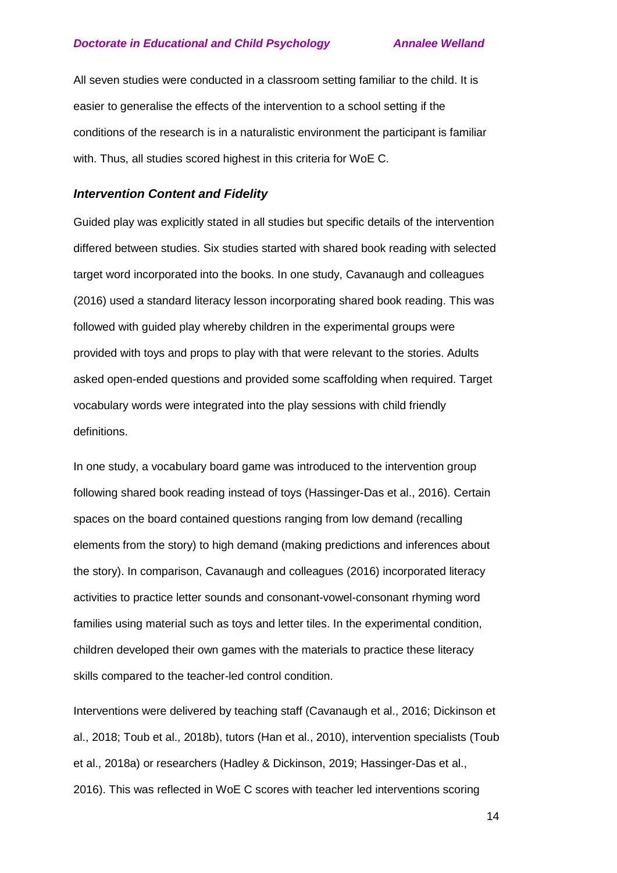All seven studies were conducted in a classroom setting familiar to the child. It is easier to generalise the effects of the intervention to a school setting if the conditions of the research is in a naturalistic environment the participant is familiar with. Thus, all studies scored highest in this criteria for WoE C.

### *Intervention Content and Fidelity*

Guided play was explicitly stated in all studies but specific details of the intervention differed between studies. Six studies started with shared book reading with selected target word incorporated into the books. In one study, Cavanaugh and colleagues (2016) used a standard literacy lesson incorporating shared book reading. This was followed with guided play whereby children in the experimental groups were provided with toys and props to play with that were relevant to the stories. Adults asked open-ended questions and provided some scaffolding when required. Target vocabulary words were integrated into the play sessions with child friendly definitions.

In one study, a vocabulary board game was introduced to the intervention group following shared book reading instead of toys (Hassinger-Das et al., 2016). Certain spaces on the board contained questions ranging from low demand (recalling elements from the story) to high demand (making predictions and inferences about the story). In comparison, Cavanaugh and colleagues (2016) incorporated literacy activities to practice letter sounds and consonant-vowel-consonant rhyming word families using material such as toys and letter tiles. In the experimental condition, children developed their own games with the materials to practice these literacy skills compared to the teacher-led control condition.

Interventions were delivered by teaching staff (Cavanaugh et al., 2016; Dickinson et al., 2018; Toub et al., 2018b), tutors (Han et al., 2010), intervention specialists (Toub et al., 2018a) or researchers (Hadley & Dickinson, 2019; Hassinger-Das et al., 2016). This was reflected in WoE C scores with teacher led interventions scoring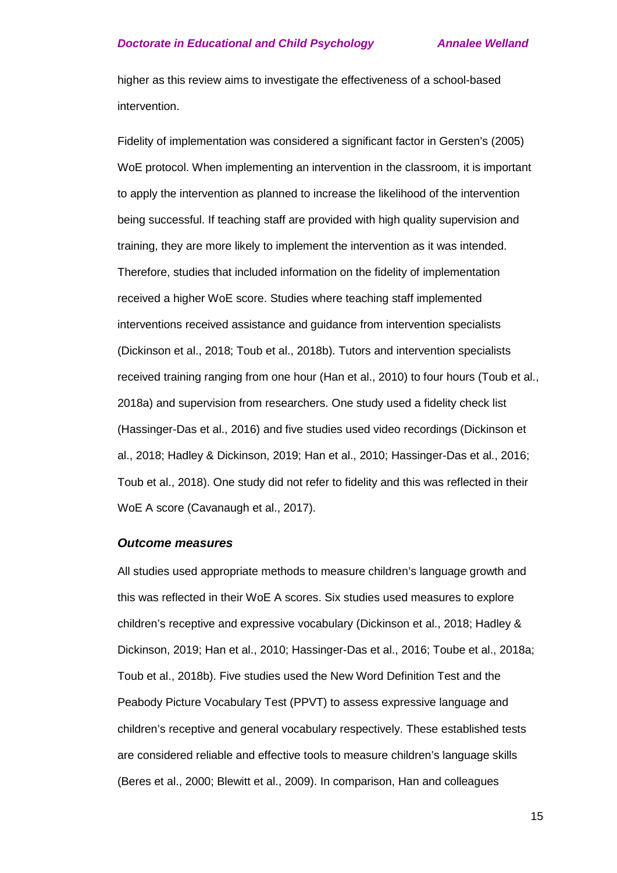higher as this review aims to investigate the effectiveness of a school-based intervention.

Fidelity of implementation was considered a significant factor in Gersten's (2005) WoE protocol. When implementing an intervention in the classroom, it is important to apply the intervention as planned to increase the likelihood of the intervention being successful. If teaching staff are provided with high quality supervision and training, they are more likely to implement the intervention as it was intended. Therefore, studies that included information on the fidelity of implementation received a higher WoE score. Studies where teaching staff implemented interventions received assistance and guidance from intervention specialists (Dickinson et al., 2018; Toub et al., 2018b). Tutors and intervention specialists received training ranging from one hour (Han et al., 2010) to four hours (Toub et al., 2018a) and supervision from researchers. One study used a fidelity check list (Hassinger-Das et al., 2016) and five studies used video recordings (Dickinson et al., 2018; Hadley & Dickinson, 2019; Han et al., 2010; Hassinger-Das et al., 2016; Toub et al., 2018). One study did not refer to fidelity and this was reflected in their WoE A score (Cavanaugh et al., 2017).

#### *Outcome measures*

All studies used appropriate methods to measure children's language growth and this was reflected in their WoE A scores. Six studies used measures to explore children's receptive and expressive vocabulary (Dickinson et al., 2018; Hadley & Dickinson, 2019; Han et al., 2010; Hassinger-Das et al., 2016; Toube et al., 2018a; Toub et al., 2018b). Five studies used the New Word Definition Test and the Peabody Picture Vocabulary Test (PPVT) to assess expressive language and children's receptive and general vocabulary respectively. These established tests are considered reliable and effective tools to measure children's language skills (Beres et al., 2000; Blewitt et al., 2009). In comparison, Han and colleagues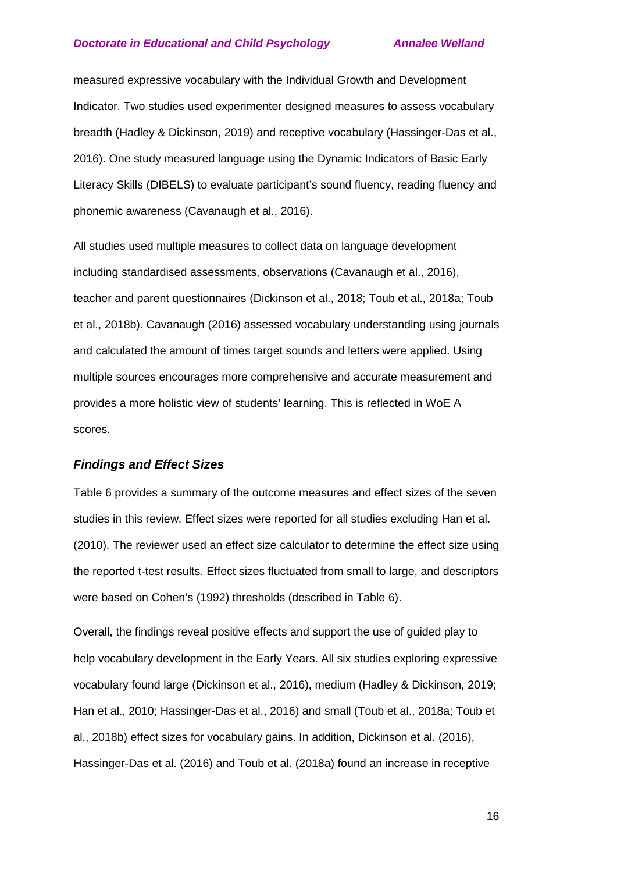measured expressive vocabulary with the Individual Growth and Development Indicator. Two studies used experimenter designed measures to assess vocabulary breadth (Hadley & Dickinson, 2019) and receptive vocabulary (Hassinger-Das et al., 2016). One study measured language using the Dynamic Indicators of Basic Early Literacy Skills (DIBELS) to evaluate participant's sound fluency, reading fluency and phonemic awareness (Cavanaugh et al., 2016).

All studies used multiple measures to collect data on language development including standardised assessments, observations (Cavanaugh et al., 2016), teacher and parent questionnaires (Dickinson et al., 2018; Toub et al., 2018a; Toub et al., 2018b). Cavanaugh (2016) assessed vocabulary understanding using journals and calculated the amount of times target sounds and letters were applied. Using multiple sources encourages more comprehensive and accurate measurement and provides a more holistic view of students' learning. This is reflected in WoE A scores.

## *Findings and Effect Sizes*

Table 6 provides a summary of the outcome measures and effect sizes of the seven studies in this review. Effect sizes were reported for all studies excluding Han et al. (2010). The reviewer used an effect size calculator to determine the effect size using the reported t-test results. Effect sizes fluctuated from small to large, and descriptors were based on Cohen's (1992) thresholds (described in Table 6).

Overall, the findings reveal positive effects and support the use of guided play to help vocabulary development in the Early Years. All six studies exploring expressive vocabulary found large (Dickinson et al., 2016), medium (Hadley & Dickinson, 2019; Han et al., 2010; Hassinger-Das et al., 2016) and small (Toub et al., 2018a; Toub et al., 2018b) effect sizes for vocabulary gains. In addition, Dickinson et al. (2016), Hassinger-Das et al. (2016) and Toub et al. (2018a) found an increase in receptive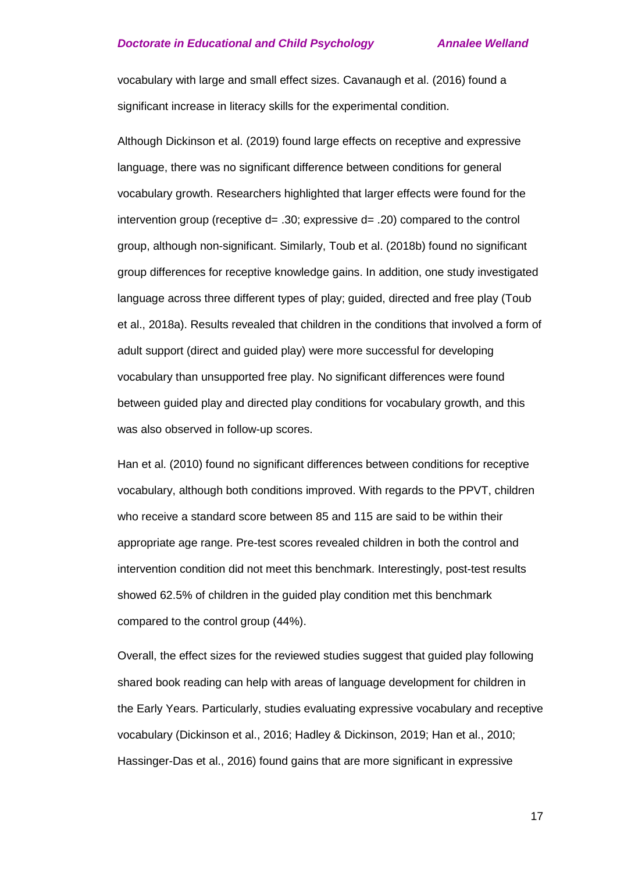vocabulary with large and small effect sizes. Cavanaugh et al. (2016) found a significant increase in literacy skills for the experimental condition.

Although Dickinson et al. (2019) found large effects on receptive and expressive language, there was no significant difference between conditions for general vocabulary growth. Researchers highlighted that larger effects were found for the intervention group (receptive d= .30; expressive d= .20) compared to the control group, although non-significant. Similarly, Toub et al. (2018b) found no significant group differences for receptive knowledge gains. In addition, one study investigated language across three different types of play; guided, directed and free play (Toub et al., 2018a). Results revealed that children in the conditions that involved a form of adult support (direct and guided play) were more successful for developing vocabulary than unsupported free play. No significant differences were found between guided play and directed play conditions for vocabulary growth, and this was also observed in follow-up scores.

Han et al. (2010) found no significant differences between conditions for receptive vocabulary, although both conditions improved. With regards to the PPVT, children who receive a standard score between 85 and 115 are said to be within their appropriate age range. Pre-test scores revealed children in both the control and intervention condition did not meet this benchmark. Interestingly, post-test results showed 62.5% of children in the guided play condition met this benchmark compared to the control group (44%).

Overall, the effect sizes for the reviewed studies suggest that guided play following shared book reading can help with areas of language development for children in the Early Years. Particularly, studies evaluating expressive vocabulary and receptive vocabulary (Dickinson et al., 2016; Hadley & Dickinson, 2019; Han et al., 2010; Hassinger-Das et al., 2016) found gains that are more significant in expressive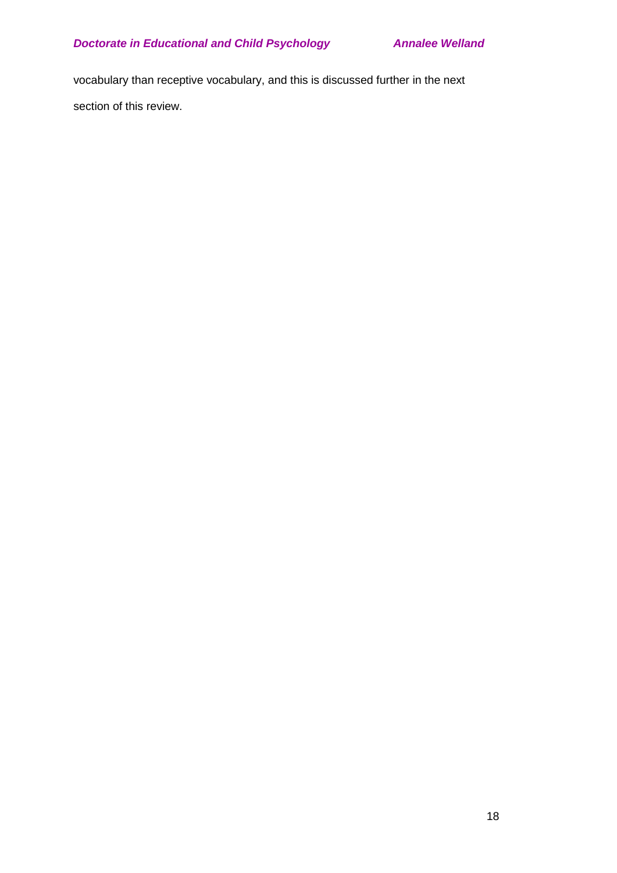vocabulary than receptive vocabulary, and this is discussed further in the next section of this review.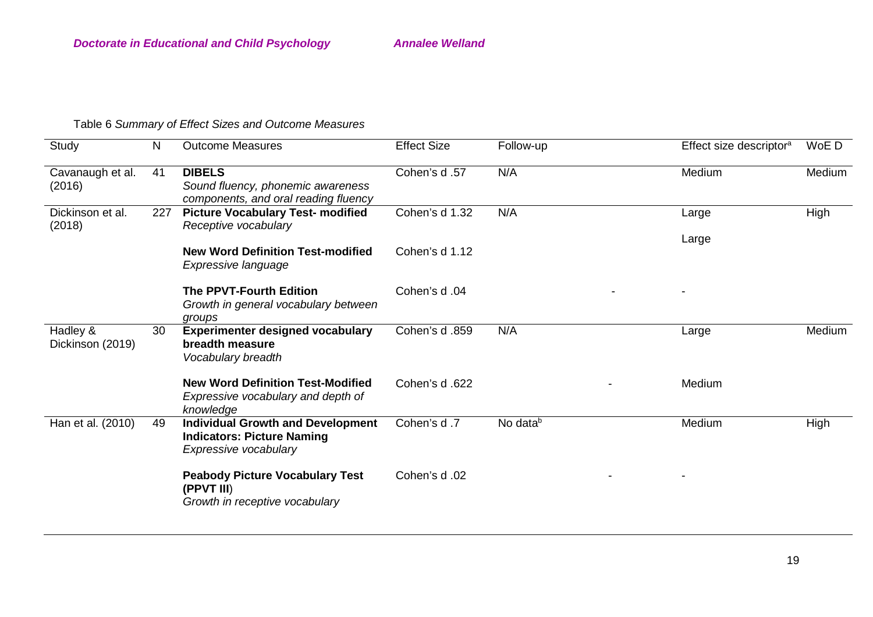# Table 6 *Summary of Effect Sizes and Outcome Measures*

| Study                        | $\mathsf{N}$ | <b>Outcome Measures</b>                                                                                | <b>Effect Size</b> | Follow-up            | Effect size descriptor <sup>a</sup> | WoE D  |
|------------------------------|--------------|--------------------------------------------------------------------------------------------------------|--------------------|----------------------|-------------------------------------|--------|
| Cavanaugh et al.<br>(2016)   | 41           | <b>DIBELS</b><br>Sound fluency, phonemic awareness<br>components, and oral reading fluency             | Cohen's d.57       | N/A                  | Medium                              | Medium |
| Dickinson et al.<br>(2018)   | 227          | <b>Picture Vocabulary Test- modified</b><br>Receptive vocabulary                                       | Cohen's d 1.32     | N/A                  | Large                               | High   |
|                              |              | <b>New Word Definition Test-modified</b><br>Expressive language                                        | Cohen's d 1.12     |                      | Large                               |        |
|                              |              | <b>The PPVT-Fourth Edition</b><br>Growth in general vocabulary between<br>groups                       | Cohen's d.04       |                      |                                     |        |
| Hadley &<br>Dickinson (2019) | 30           | <b>Experimenter designed vocabulary</b><br>breadth measure<br>Vocabulary breadth                       | Cohen's d.859      | N/A                  | Large                               | Medium |
|                              |              | <b>New Word Definition Test-Modified</b><br>Expressive vocabulary and depth of<br>knowledge            | Cohen's d.622      |                      | Medium                              |        |
| Han et al. (2010)            | 49           | <b>Individual Growth and Development</b><br><b>Indicators: Picture Naming</b><br>Expressive vocabulary | Cohen's d.7        | No data <sup>b</sup> | Medium                              | High   |
|                              |              | <b>Peabody Picture Vocabulary Test</b><br>(PPVT III)<br>Growth in receptive vocabulary                 | Cohen's d.02       |                      |                                     |        |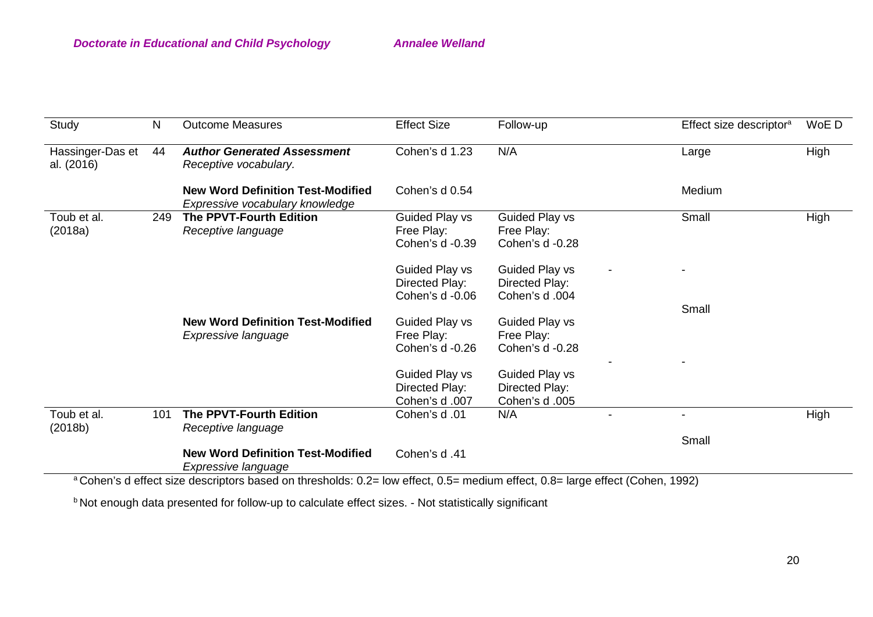| Study                          | N   | <b>Outcome Measures</b>                                                                                                                                                                        | <b>Effect Size</b>                                  | Follow-up                                                | Effect size descriptor <sup>a</sup> | WoE D |
|--------------------------------|-----|------------------------------------------------------------------------------------------------------------------------------------------------------------------------------------------------|-----------------------------------------------------|----------------------------------------------------------|-------------------------------------|-------|
| Hassinger-Das et<br>al. (2016) | 44  | <b>Author Generated Assessment</b><br>Receptive vocabulary.                                                                                                                                    | Cohen's d 1.23                                      | N/A                                                      | Large                               | High  |
|                                |     | <b>New Word Definition Test-Modified</b><br>Expressive vocabulary knowledge                                                                                                                    | Cohen's d 0.54                                      |                                                          | Medium                              |       |
| Toub et al.<br>(2018a)         | 249 | <b>The PPVT-Fourth Edition</b><br>Receptive language                                                                                                                                           | Guided Play vs<br>Free Play:<br>Cohen's d -0.39     | Guided Play vs<br>Free Play:<br>Cohen's d -0.28          | Small                               | High  |
|                                |     |                                                                                                                                                                                                | Guided Play vs<br>Directed Play:<br>Cohen's d -0.06 | Guided Play vs<br>Directed Play:<br>Cohen's d.004        |                                     |       |
|                                |     | <b>New Word Definition Test-Modified</b><br>Expressive language                                                                                                                                | Guided Play vs<br>Free Play:<br>Cohen's d -0.26     | <b>Guided Play vs</b><br>Free Play:<br>Cohen's d -0.28   | Small                               |       |
|                                |     |                                                                                                                                                                                                | Guided Play vs<br>Directed Play:<br>Cohen's d.007   | <b>Guided Play vs</b><br>Directed Play:<br>Cohen's d.005 |                                     |       |
| Toub et al.<br>(2018b)         | 101 | The PPVT-Fourth Edition<br>Receptive language                                                                                                                                                  | Cohen's d.01                                        | N/A                                                      | $\overline{\phantom{a}}$            | High  |
|                                |     | <b>New Word Definition Test-Modified</b><br>Expressive language<br>3 Caharia deficate include descriptors board on thresholds: 0.0 Journalised O.E. modium offect 0.0 Journalised (Cahar 1000) | Cohen's d.41                                        |                                                          | Small                               |       |

Cohen's d effect size descriptors based on thresholds: 0.2= low effect, 0.5= medium effect, 0.8= large effect (Cohen, 1992)

b Not enough data presented for follow-up to calculate effect sizes. - Not statistically significant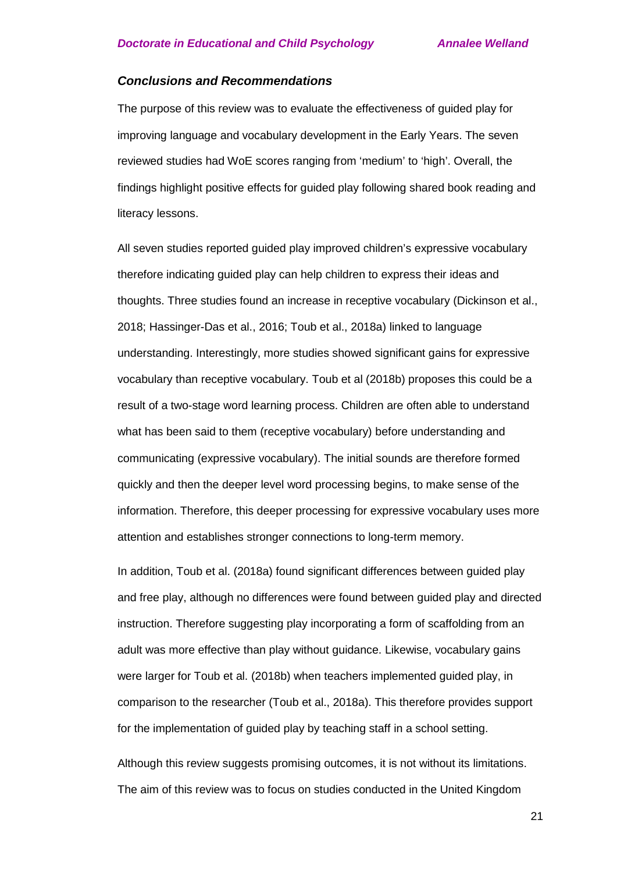#### *Conclusions and Recommendations*

The purpose of this review was to evaluate the effectiveness of guided play for improving language and vocabulary development in the Early Years. The seven reviewed studies had WoE scores ranging from 'medium' to 'high'. Overall, the findings highlight positive effects for guided play following shared book reading and literacy lessons.

All seven studies reported guided play improved children's expressive vocabulary therefore indicating guided play can help children to express their ideas and thoughts. Three studies found an increase in receptive vocabulary (Dickinson et al., 2018; Hassinger-Das et al., 2016; Toub et al., 2018a) linked to language understanding. Interestingly, more studies showed significant gains for expressive vocabulary than receptive vocabulary. Toub et al (2018b) proposes this could be a result of a two-stage word learning process. Children are often able to understand what has been said to them (receptive vocabulary) before understanding and communicating (expressive vocabulary). The initial sounds are therefore formed quickly and then the deeper level word processing begins, to make sense of the information. Therefore, this deeper processing for expressive vocabulary uses more attention and establishes stronger connections to long-term memory.

In addition, Toub et al. (2018a) found significant differences between guided play and free play, although no differences were found between guided play and directed instruction. Therefore suggesting play incorporating a form of scaffolding from an adult was more effective than play without guidance. Likewise, vocabulary gains were larger for Toub et al. (2018b) when teachers implemented guided play, in comparison to the researcher (Toub et al., 2018a). This therefore provides support for the implementation of guided play by teaching staff in a school setting.

Although this review suggests promising outcomes, it is not without its limitations. The aim of this review was to focus on studies conducted in the United Kingdom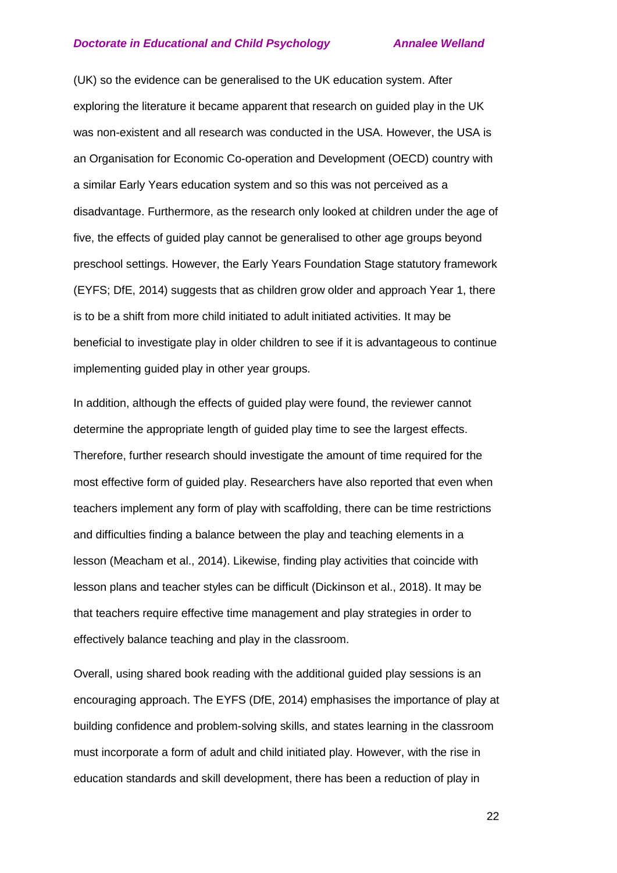(UK) so the evidence can be generalised to the UK education system. After exploring the literature it became apparent that research on guided play in the UK was non-existent and all research was conducted in the USA. However, the USA is an Organisation for Economic Co-operation and Development (OECD) country with a similar Early Years education system and so this was not perceived as a disadvantage. Furthermore, as the research only looked at children under the age of five, the effects of guided play cannot be generalised to other age groups beyond preschool settings. However, the Early Years Foundation Stage statutory framework (EYFS; DfE, 2014) suggests that as children grow older and approach Year 1, there is to be a shift from more child initiated to adult initiated activities. It may be beneficial to investigate play in older children to see if it is advantageous to continue implementing guided play in other year groups.

In addition, although the effects of guided play were found, the reviewer cannot determine the appropriate length of guided play time to see the largest effects. Therefore, further research should investigate the amount of time required for the most effective form of guided play. Researchers have also reported that even when teachers implement any form of play with scaffolding, there can be time restrictions and difficulties finding a balance between the play and teaching elements in a lesson (Meacham et al., 2014). Likewise, finding play activities that coincide with lesson plans and teacher styles can be difficult (Dickinson et al., 2018). It may be that teachers require effective time management and play strategies in order to effectively balance teaching and play in the classroom.

Overall, using shared book reading with the additional guided play sessions is an encouraging approach. The EYFS (DfE, 2014) emphasises the importance of play at building confidence and problem-solving skills, and states learning in the classroom must incorporate a form of adult and child initiated play. However, with the rise in education standards and skill development, there has been a reduction of play in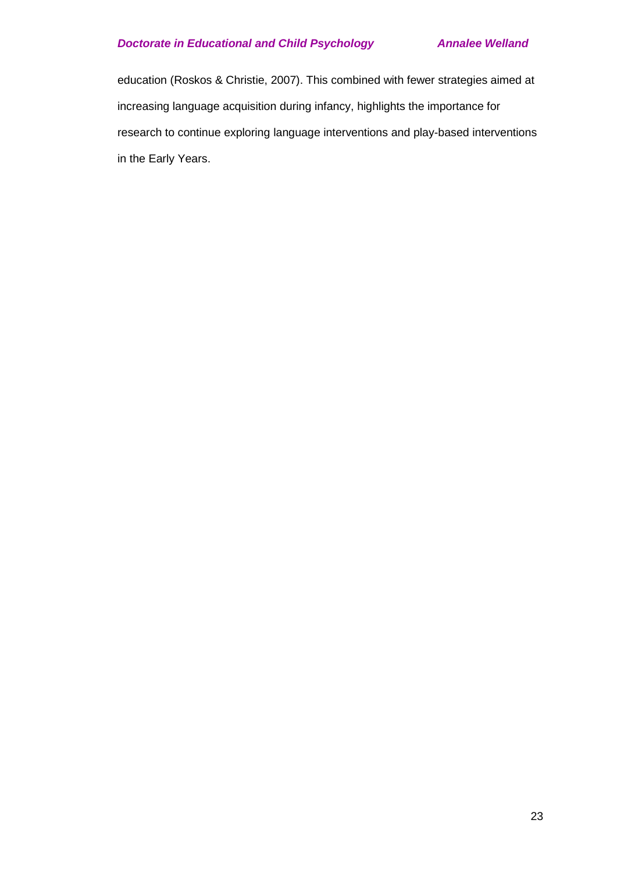education (Roskos & Christie, 2007). This combined with fewer strategies aimed at increasing language acquisition during infancy, highlights the importance for research to continue exploring language interventions and play-based interventions in the Early Years.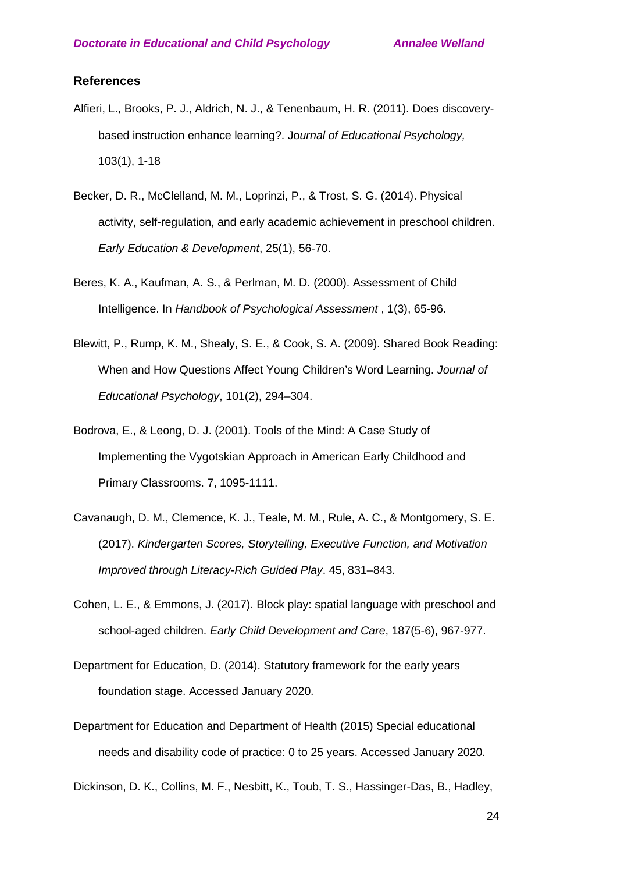#### **References**

- Alfieri, L., Brooks, P. J., Aldrich, N. J., & Tenenbaum, H. R. (2011). Does discoverybased instruction enhance learning?. Jo*urnal of Educational Psychology,* 103(1), 1-18
- Becker, D. R., McClelland, M. M., Loprinzi, P., & Trost, S. G. (2014). Physical activity, self-regulation, and early academic achievement in preschool children. *Early Education & Development*, 25(1), 56-70.
- Beres, K. A., Kaufman, A. S., & Perlman, M. D. (2000). Assessment of Child Intelligence. In *Handbook of Psychological Assessment* , 1(3), 65-96.
- Blewitt, P., Rump, K. M., Shealy, S. E., & Cook, S. A. (2009). Shared Book Reading: When and How Questions Affect Young Children's Word Learning. *Journal of Educational Psychology*, 101(2), 294–304.
- Bodrova, E., & Leong, D. J. (2001). Tools of the Mind: A Case Study of Implementing the Vygotskian Approach in American Early Childhood and Primary Classrooms. 7, 1095-1111.
- Cavanaugh, D. M., Clemence, K. J., Teale, M. M., Rule, A. C., & Montgomery, S. E. (2017). *Kindergarten Scores, Storytelling, Executive Function, and Motivation Improved through Literacy-Rich Guided Play*. 45, 831–843.
- Cohen, L. E., & Emmons, J. (2017). Block play: spatial language with preschool and school-aged children. *Early Child Development and Care*, 187(5-6), 967-977.
- Department for Education, D. (2014). Statutory framework for the early years foundation stage. Accessed January 2020.
- Department for Education and Department of Health (2015) Special educational needs and disability code of practice: 0 to 25 years. Accessed January 2020.

Dickinson, D. K., Collins, M. F., Nesbitt, K., Toub, T. S., Hassinger-Das, B., Hadley,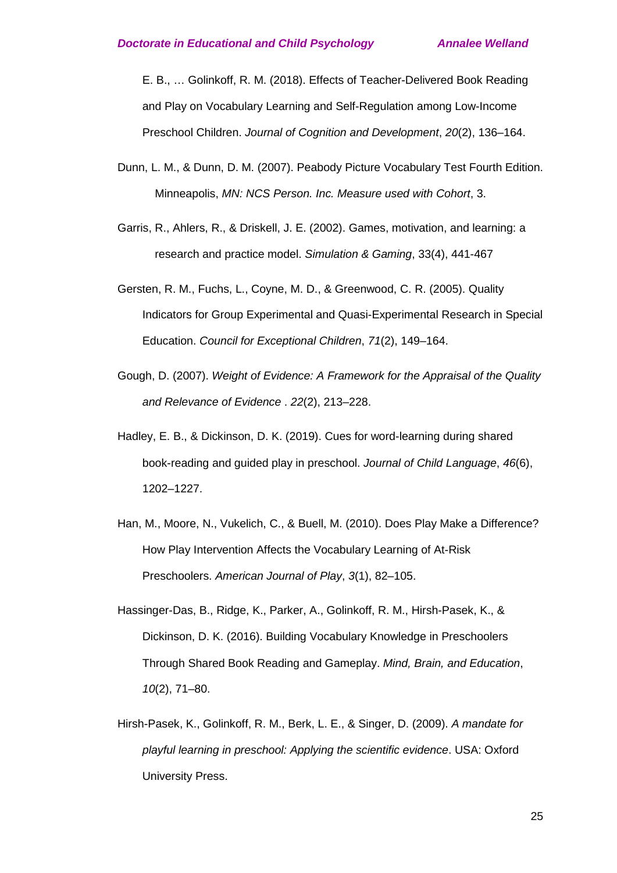E. B., … Golinkoff, R. M. (2018). Effects of Teacher-Delivered Book Reading and Play on Vocabulary Learning and Self-Regulation among Low-Income Preschool Children. *Journal of Cognition and Development*, *20*(2), 136–164.

- Dunn, L. M., & Dunn, D. M. (2007). Peabody Picture Vocabulary Test Fourth Edition. Minneapolis, *MN: NCS Person. Inc. Measure used with Cohort*, 3.
- Garris, R., Ahlers, R., & Driskell, J. E. (2002). Games, motivation, and learning: a research and practice model. *Simulation & Gaming*, 33(4), 441-467
- Gersten, R. M., Fuchs, L., Coyne, M. D., & Greenwood, C. R. (2005). Quality Indicators for Group Experimental and Quasi-Experimental Research in Special Education. *Council for Exceptional Children*, *71*(2), 149–164.
- Gough, D. (2007). *Weight of Evidence: A Framework for the Appraisal of the Quality and Relevance of Evidence* . *22*(2), 213–228.
- Hadley, E. B., & Dickinson, D. K. (2019). Cues for word-learning during shared book-reading and guided play in preschool. *Journal of Child Language*, *46*(6), 1202–1227.
- Han, M., Moore, N., Vukelich, C., & Buell, M. (2010). Does Play Make a Difference? How Play Intervention Affects the Vocabulary Learning of At-Risk Preschoolers. *American Journal of Play*, *3*(1), 82–105.
- Hassinger-Das, B., Ridge, K., Parker, A., Golinkoff, R. M., Hirsh-Pasek, K., & Dickinson, D. K. (2016). Building Vocabulary Knowledge in Preschoolers Through Shared Book Reading and Gameplay. *Mind, Brain, and Education*, *10*(2), 71–80.
- Hirsh-Pasek, K., Golinkoff, R. M., Berk, L. E., & Singer, D. (2009). *A mandate for playful learning in preschool: Applying the scientific evidence*. USA: Oxford University Press.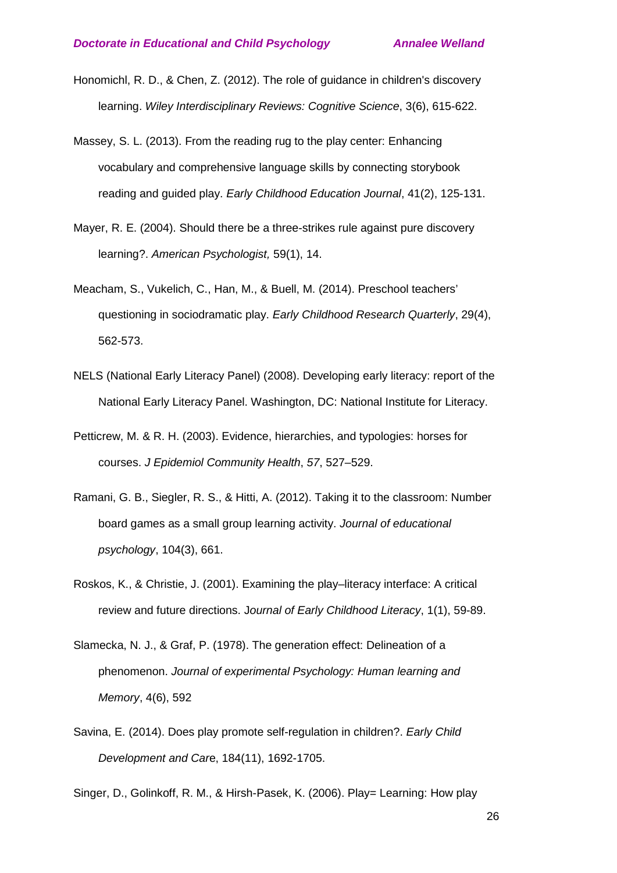- Honomichl, R. D., & Chen, Z. (2012). The role of guidance in children's discovery learning. *Wiley Interdisciplinary Reviews: Cognitive Science*, 3(6), 615-622.
- Massey, S. L. (2013). From the reading rug to the play center: Enhancing vocabulary and comprehensive language skills by connecting storybook reading and guided play. *Early Childhood Education Journal*, 41(2), 125-131.
- Mayer, R. E. (2004). Should there be a three-strikes rule against pure discovery learning?. *American Psychologist,* 59(1), 14.
- Meacham, S., Vukelich, C., Han, M., & Buell, M. (2014). Preschool teachers' questioning in sociodramatic play. *Early Childhood Research Quarterly*, 29(4), 562-573.
- NELS (National Early Literacy Panel) (2008). Developing early literacy: report of the National Early Literacy Panel. Washington, DC: National Institute for Literacy.
- Petticrew, M. & R. H. (2003). Evidence, hierarchies, and typologies: horses for courses. *J Epidemiol Community Health*, *57*, 527–529.
- Ramani, G. B., Siegler, R. S., & Hitti, A. (2012). Taking it to the classroom: Number board games as a small group learning activity. *Journal of educational psychology*, 104(3), 661.
- Roskos, K., & Christie, J. (2001). Examining the play–literacy interface: A critical review and future directions. J*ournal of Early Childhood Literacy*, 1(1), 59-89.
- Slamecka, N. J., & Graf, P. (1978). The generation effect: Delineation of a phenomenon. *Journal of experimental Psychology: Human learning and Memory*, 4(6), 592
- Savina, E. (2014). Does play promote self-regulation in children?. *Early Child Development and Car*e, 184(11), 1692-1705.

Singer, D., Golinkoff, R. M., & Hirsh-Pasek, K. (2006). Play= Learning: How play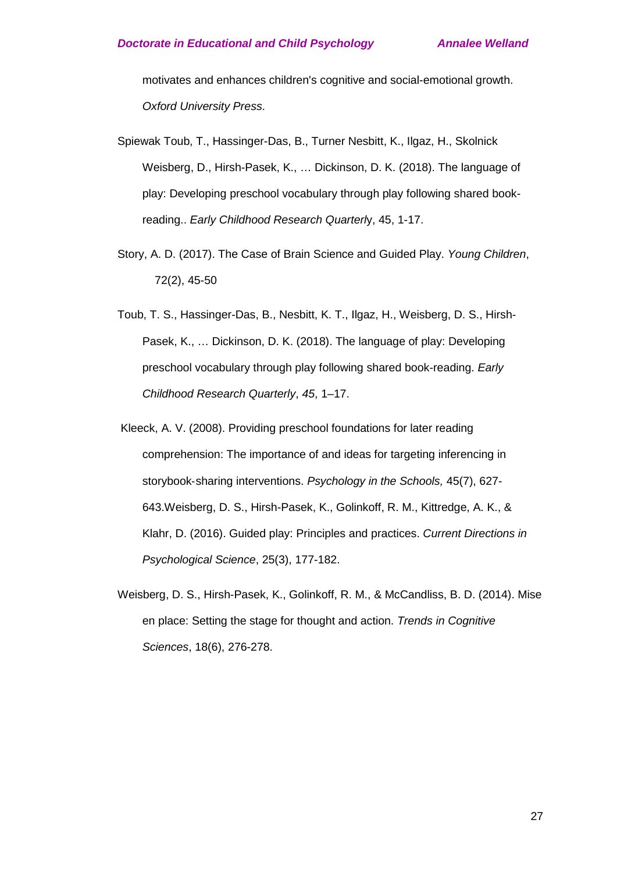motivates and enhances children's cognitive and social-emotional growth. *Oxford University Press*.

- Spiewak Toub, T., Hassinger-Das, B., Turner Nesbitt, K., Ilgaz, H., Skolnick Weisberg, D., Hirsh-Pasek, K., … Dickinson, D. K. (2018). The language of play: Developing preschool vocabulary through play following shared bookreading.. *Early Childhood Research Quarterl*y, 45, 1-17.
- Story, A. D. (2017). The Case of Brain Science and Guided Play. *Young Children*, 72(2), 45-50
- Toub, T. S., Hassinger-Das, B., Nesbitt, K. T., Ilgaz, H., Weisberg, D. S., Hirsh-Pasek, K., … Dickinson, D. K. (2018). The language of play: Developing preschool vocabulary through play following shared book-reading. *Early Childhood Research Quarterly*, *45*, 1–17.
- Kleeck, A. V. (2008). Providing preschool foundations for later reading comprehension: The importance of and ideas for targeting inferencing in storybook‐sharing interventions. *Psychology in the Schools,* 45(7), 627- 643.Weisberg, D. S., Hirsh-Pasek, K., Golinkoff, R. M., Kittredge, A. K., & Klahr, D. (2016). Guided play: Principles and practices. *Current Directions in Psychological Science*, 25(3), 177-182.
- Weisberg, D. S., Hirsh-Pasek, K., Golinkoff, R. M., & McCandliss, B. D. (2014). Mise en place: Setting the stage for thought and action. *Trends in Cognitive Sciences*, 18(6), 276-278.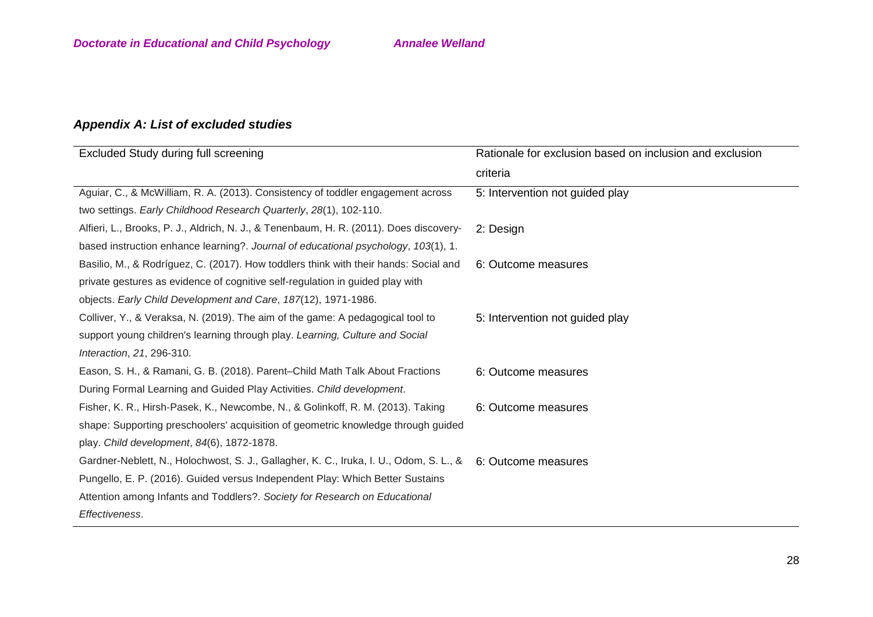# *Appendix A: List of excluded studies*

| Excluded Study during full screening                                                                       | Rationale for exclusion based on inclusion and exclusion |
|------------------------------------------------------------------------------------------------------------|----------------------------------------------------------|
|                                                                                                            | criteria                                                 |
| Aguiar, C., & McWilliam, R. A. (2013). Consistency of toddler engagement across                            | 5: Intervention not guided play                          |
| two settings. Early Childhood Research Quarterly, 28(1), 102-110.                                          |                                                          |
| Alfieri, L., Brooks, P. J., Aldrich, N. J., & Tenenbaum, H. R. (2011). Does discovery-                     | 2: Design                                                |
| based instruction enhance learning?. Journal of educational psychology, 103(1), 1.                         |                                                          |
| Basilio, M., & Rodríguez, C. (2017). How toddlers think with their hands: Social and                       | 6: Outcome measures                                      |
| private gestures as evidence of cognitive self-regulation in guided play with                              |                                                          |
| objects. Early Child Development and Care, 187(12), 1971-1986.                                             |                                                          |
| Colliver, Y., & Veraksa, N. (2019). The aim of the game: A pedagogical tool to                             | 5: Intervention not guided play                          |
| support young children's learning through play. Learning, Culture and Social                               |                                                          |
| Interaction, 21, 296-310.                                                                                  |                                                          |
| Eason, S. H., & Ramani, G. B. (2018). Parent-Child Math Talk About Fractions                               | 6: Outcome measures                                      |
| During Formal Learning and Guided Play Activities. Child development.                                      |                                                          |
| Fisher, K. R., Hirsh-Pasek, K., Newcombe, N., & Golinkoff, R. M. (2013). Taking                            | 6: Outcome measures                                      |
| shape: Supporting preschoolers' acquisition of geometric knowledge through guided                          |                                                          |
| play. Child development, 84(6), 1872-1878.                                                                 |                                                          |
| Gardner-Neblett, N., Holochwost, S. J., Gallagher, K. C., Iruka, I. U., Odom, S. L., & 6: Outcome measures |                                                          |
| Pungello, E. P. (2016). Guided versus Independent Play: Which Better Sustains                              |                                                          |
| Attention among Infants and Toddlers?. Society for Research on Educational                                 |                                                          |
| Effectiveness.                                                                                             |                                                          |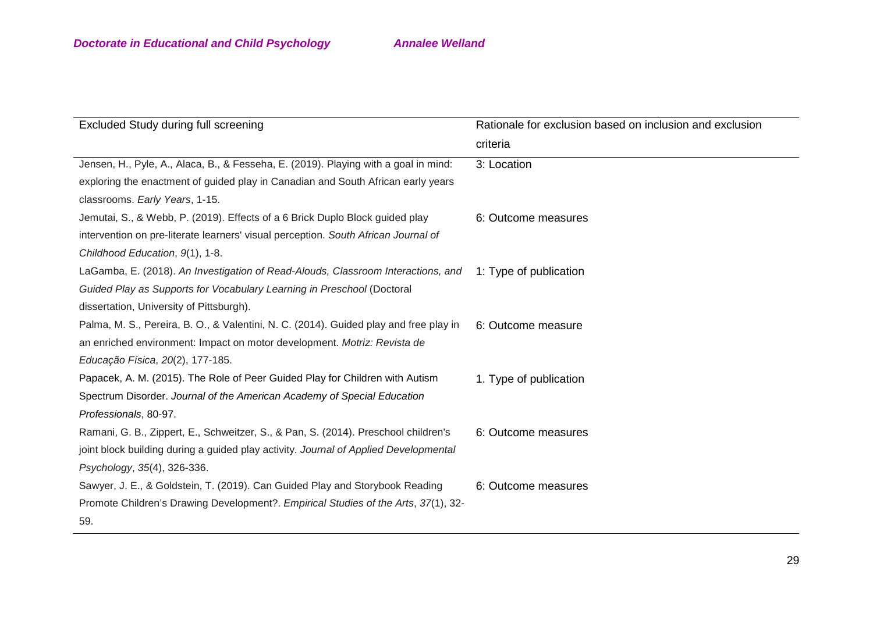| Excluded Study during full screening                                                  | Rationale for exclusion based on inclusion and exclusion |
|---------------------------------------------------------------------------------------|----------------------------------------------------------|
|                                                                                       | criteria                                                 |
| Jensen, H., Pyle, A., Alaca, B., & Fesseha, E. (2019). Playing with a goal in mind:   | 3: Location                                              |
| exploring the enactment of guided play in Canadian and South African early years      |                                                          |
| classrooms. Early Years, 1-15.                                                        |                                                          |
| Jemutai, S., & Webb, P. (2019). Effects of a 6 Brick Duplo Block guided play          | 6: Outcome measures                                      |
| intervention on pre-literate learners' visual perception. South African Journal of    |                                                          |
| Childhood Education, 9(1), 1-8.                                                       |                                                          |
| LaGamba, E. (2018). An Investigation of Read-Alouds, Classroom Interactions, and      | 1: Type of publication                                   |
| Guided Play as Supports for Vocabulary Learning in Preschool (Doctoral                |                                                          |
| dissertation, University of Pittsburgh).                                              |                                                          |
| Palma, M. S., Pereira, B. O., & Valentini, N. C. (2014). Guided play and free play in | 6: Outcome measure                                       |
| an enriched environment: Impact on motor development. Motriz: Revista de              |                                                          |
| Educação Física, 20(2), 177-185.                                                      |                                                          |
| Papacek, A. M. (2015). The Role of Peer Guided Play for Children with Autism          | 1. Type of publication                                   |
| Spectrum Disorder. Journal of the American Academy of Special Education               |                                                          |
| Professionals, 80-97.                                                                 |                                                          |
| Ramani, G. B., Zippert, E., Schweitzer, S., & Pan, S. (2014). Preschool children's    | 6: Outcome measures                                      |
| joint block building during a guided play activity. Journal of Applied Developmental  |                                                          |
| Psychology, 35(4), 326-336.                                                           |                                                          |
| Sawyer, J. E., & Goldstein, T. (2019). Can Guided Play and Storybook Reading          | 6: Outcome measures                                      |
| Promote Children's Drawing Development?. Empirical Studies of the Arts, 37(1), 32-    |                                                          |
| 59.                                                                                   |                                                          |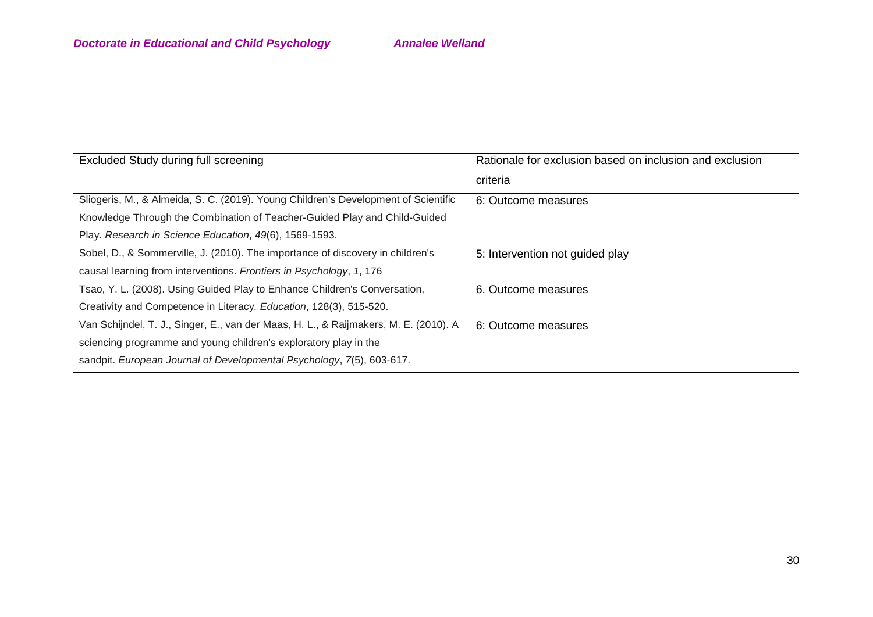| Excluded Study during full screening                                                 | Rationale for exclusion based on inclusion and exclusion |
|--------------------------------------------------------------------------------------|----------------------------------------------------------|
|                                                                                      | criteria                                                 |
| Sliogeris, M., & Almeida, S. C. (2019). Young Children's Development of Scientific   | 6: Outcome measures                                      |
| Knowledge Through the Combination of Teacher-Guided Play and Child-Guided            |                                                          |
| Play. Research in Science Education, 49(6), 1569-1593.                               |                                                          |
| Sobel, D., & Sommerville, J. (2010). The importance of discovery in children's       | 5: Intervention not guided play                          |
| causal learning from interventions. Frontiers in Psychology, 1, 176                  |                                                          |
| Tsao, Y. L. (2008). Using Guided Play to Enhance Children's Conversation,            | 6. Outcome measures                                      |
| Creativity and Competence in Literacy. Education, 128(3), 515-520.                   |                                                          |
| Van Schijndel, T. J., Singer, E., van der Maas, H. L., & Raijmakers, M. E. (2010). A | 6: Outcome measures                                      |
| sciencing programme and young children's exploratory play in the                     |                                                          |
| sandpit. European Journal of Developmental Psychology, 7(5), 603-617.                |                                                          |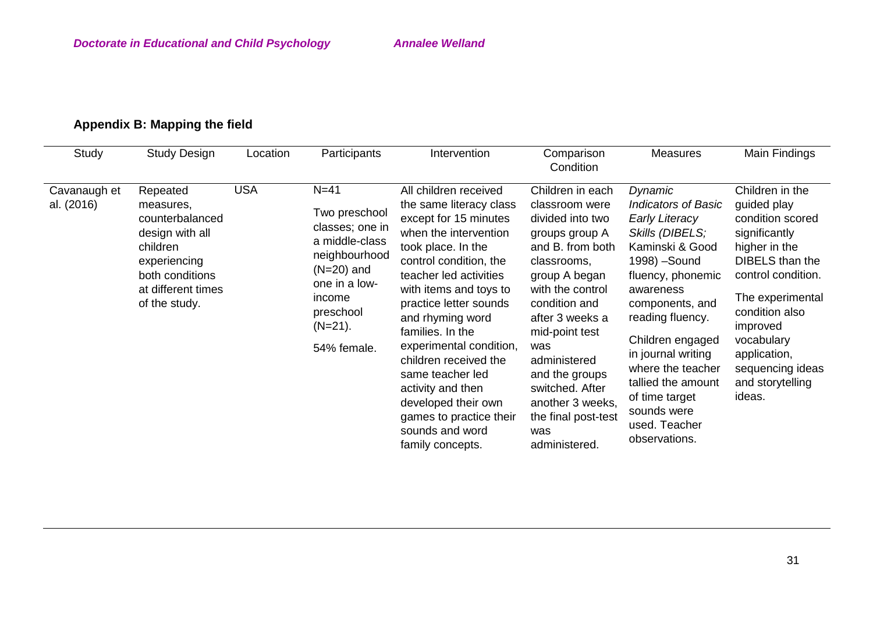# **Appendix B: Mapping the field**

| Study                      | <b>Study Design</b>                                                                                                                               | Location   | Participants                                                                                                                                                       | Intervention                                                                                                                                                                                                                                                                                                                                                                                                                                                   | Comparison<br>Condition                                                                                                                                                                                                                                                                                                               | <b>Measures</b>                                                                                                                                                                                                                                                                                                                                        | Main Findings                                                                                                                                                                                                                                                          |
|----------------------------|---------------------------------------------------------------------------------------------------------------------------------------------------|------------|--------------------------------------------------------------------------------------------------------------------------------------------------------------------|----------------------------------------------------------------------------------------------------------------------------------------------------------------------------------------------------------------------------------------------------------------------------------------------------------------------------------------------------------------------------------------------------------------------------------------------------------------|---------------------------------------------------------------------------------------------------------------------------------------------------------------------------------------------------------------------------------------------------------------------------------------------------------------------------------------|--------------------------------------------------------------------------------------------------------------------------------------------------------------------------------------------------------------------------------------------------------------------------------------------------------------------------------------------------------|------------------------------------------------------------------------------------------------------------------------------------------------------------------------------------------------------------------------------------------------------------------------|
| Cavanaugh et<br>al. (2016) | Repeated<br>measures,<br>counterbalanced<br>design with all<br>children<br>experiencing<br>both conditions<br>at different times<br>of the study. | <b>USA</b> | $N=41$<br>Two preschool<br>classes; one in<br>a middle-class<br>neighbourhood<br>$(N=20)$ and<br>one in a low-<br>income<br>preschool<br>$(N=21)$ .<br>54% female. | All children received<br>the same literacy class<br>except for 15 minutes<br>when the intervention<br>took place. In the<br>control condition, the<br>teacher led activities<br>with items and toys to<br>practice letter sounds<br>and rhyming word<br>families. In the<br>experimental condition,<br>children received the<br>same teacher led<br>activity and then<br>developed their own<br>games to practice their<br>sounds and word<br>family concepts. | Children in each<br>classroom were<br>divided into two<br>groups group A<br>and B. from both<br>classrooms,<br>group A began<br>with the control<br>condition and<br>after 3 weeks a<br>mid-point test<br>was<br>administered<br>and the groups<br>switched. After<br>another 3 weeks,<br>the final post-test<br>was<br>administered. | Dynamic<br><b>Indicators of Basic</b><br><b>Early Literacy</b><br>Skills (DIBELS;<br>Kaminski & Good<br>1998) - Sound<br>fluency, phonemic<br>awareness<br>components, and<br>reading fluency.<br>Children engaged<br>in journal writing<br>where the teacher<br>tallied the amount<br>of time target<br>sounds were<br>used. Teacher<br>observations. | Children in the<br>guided play<br>condition scored<br>significantly<br>higher in the<br><b>DIBELS</b> than the<br>control condition.<br>The experimental<br>condition also<br>improved<br>vocabulary<br>application,<br>sequencing ideas<br>and storytelling<br>ideas. |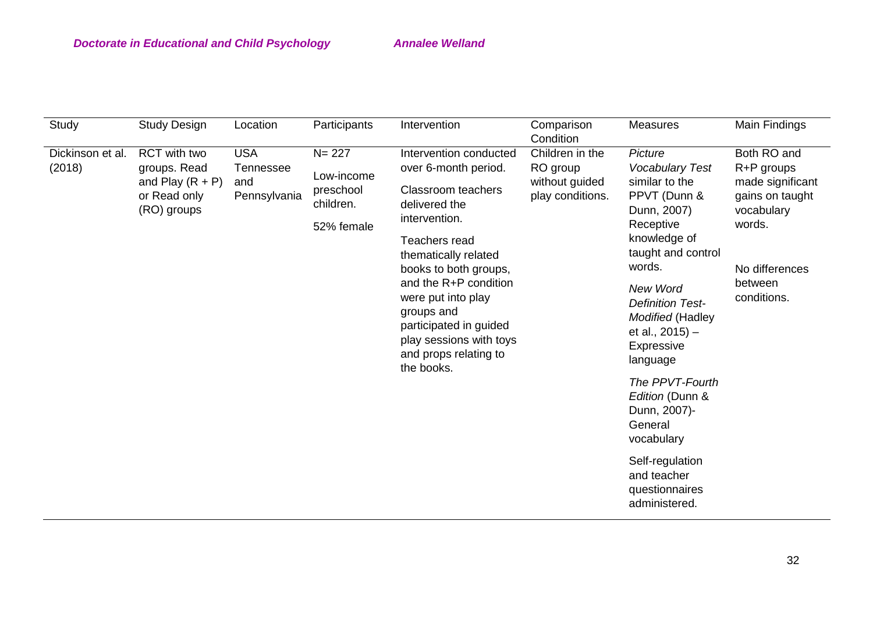| Study                      | <b>Study Design</b>                                                                      | Location                                              | Participants                                                    | Intervention                                                                                                                                                                                                                                                                                                                             | Comparison<br>Condition                                           | <b>Measures</b>                                                                                                                                                                                                                                                                                                                                                                                                    | Main Findings                                                                                                                        |
|----------------------------|------------------------------------------------------------------------------------------|-------------------------------------------------------|-----------------------------------------------------------------|------------------------------------------------------------------------------------------------------------------------------------------------------------------------------------------------------------------------------------------------------------------------------------------------------------------------------------------|-------------------------------------------------------------------|--------------------------------------------------------------------------------------------------------------------------------------------------------------------------------------------------------------------------------------------------------------------------------------------------------------------------------------------------------------------------------------------------------------------|--------------------------------------------------------------------------------------------------------------------------------------|
| Dickinson et al.<br>(2018) | <b>RCT</b> with two<br>groups. Read<br>and Play $(R + P)$<br>or Read only<br>(RO) groups | <b>USA</b><br><b>Tennessee</b><br>and<br>Pennsylvania | $N = 227$<br>Low-income<br>preschool<br>children.<br>52% female | Intervention conducted<br>over 6-month period.<br><b>Classroom teachers</b><br>delivered the<br>intervention.<br>Teachers read<br>thematically related<br>books to both groups,<br>and the R+P condition<br>were put into play<br>groups and<br>participated in guided<br>play sessions with toys<br>and props relating to<br>the books. | Children in the<br>RO group<br>without guided<br>play conditions. | Picture<br><b>Vocabulary Test</b><br>similar to the<br>PPVT (Dunn &<br>Dunn, 2007)<br>Receptive<br>knowledge of<br>taught and control<br>words.<br><b>New Word</b><br><b>Definition Test-</b><br>Modified (Hadley<br>et al., 2015) -<br>Expressive<br>language<br>The PPVT-Fourth<br>Edition (Dunn &<br>Dunn, 2007)-<br>General<br>vocabulary<br>Self-regulation<br>and teacher<br>questionnaires<br>administered. | Both RO and<br>R+P groups<br>made significant<br>gains on taught<br>vocabulary<br>words.<br>No differences<br>between<br>conditions. |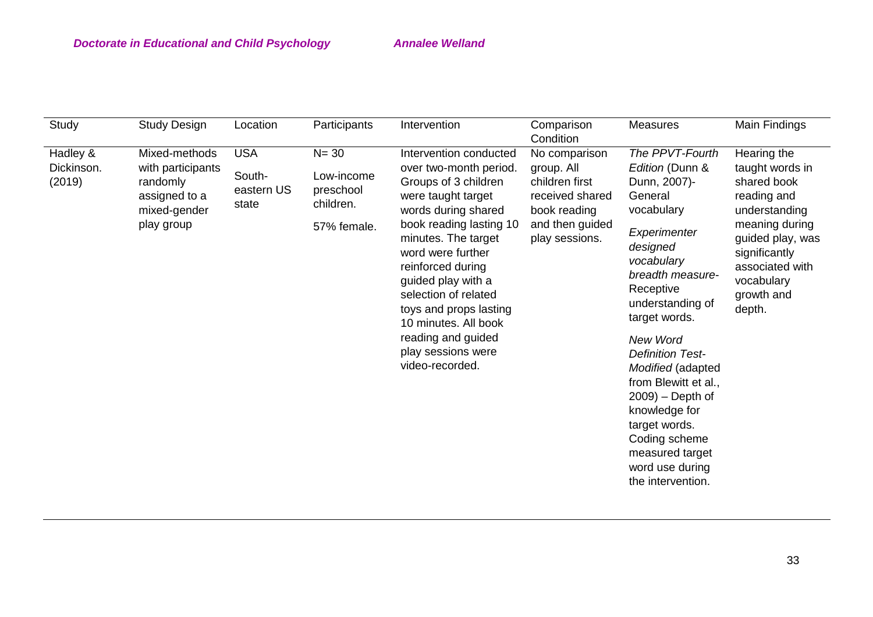| <b>USA</b><br>$N = 30$<br>Mixed-methods<br>Intervention conducted<br>Hearing the<br>Hadley &<br>The PPVT-Fourth<br>No comparison<br>Dickinson.<br>with participants<br>Edition (Dunn &<br>taught words in<br>over two-month period.<br>group. All<br>South-<br>Low-income<br>Groups of 3 children<br>shared book<br>(2019)<br>children first<br>Dunn, 2007)-<br>randomly<br>eastern US<br>preschool<br>were taught target<br>received shared<br>General<br>reading and<br>assigned to a<br>children.<br>state<br>words during shared<br>mixed-gender<br>vocabulary<br>book reading<br>understanding<br>and then guided<br>meaning during<br>play group<br>book reading lasting 10<br>57% female.<br>Experimenter<br>minutes. The target<br>play sessions.<br>guided play, was<br>designed<br>word were further<br>significantly<br>vocabulary<br>reinforced during<br>associated with<br>breadth measure-<br>guided play with a<br>vocabulary<br>Receptive<br>selection of related<br>growth and<br>understanding of<br>toys and props lasting<br>depth.<br>target words.<br>10 minutes. All book<br>reading and guided<br>New Word<br>play sessions were<br><b>Definition Test-</b><br>video-recorded.<br>Modified (adapted<br>from Blewitt et al.,<br>$2009$ ) – Depth of<br>knowledge for<br>target words.<br>Coding scheme<br>measured target<br>word use during<br>the intervention. | Study | <b>Study Design</b> | Location | Participants | Intervention | Comparison<br>Condition | <b>Measures</b> | Main Findings |
|-------------------------------------------------------------------------------------------------------------------------------------------------------------------------------------------------------------------------------------------------------------------------------------------------------------------------------------------------------------------------------------------------------------------------------------------------------------------------------------------------------------------------------------------------------------------------------------------------------------------------------------------------------------------------------------------------------------------------------------------------------------------------------------------------------------------------------------------------------------------------------------------------------------------------------------------------------------------------------------------------------------------------------------------------------------------------------------------------------------------------------------------------------------------------------------------------------------------------------------------------------------------------------------------------------------------------------------------------------------------------------------------|-------|---------------------|----------|--------------|--------------|-------------------------|-----------------|---------------|
|                                                                                                                                                                                                                                                                                                                                                                                                                                                                                                                                                                                                                                                                                                                                                                                                                                                                                                                                                                                                                                                                                                                                                                                                                                                                                                                                                                                           |       |                     |          |              |              |                         |                 |               |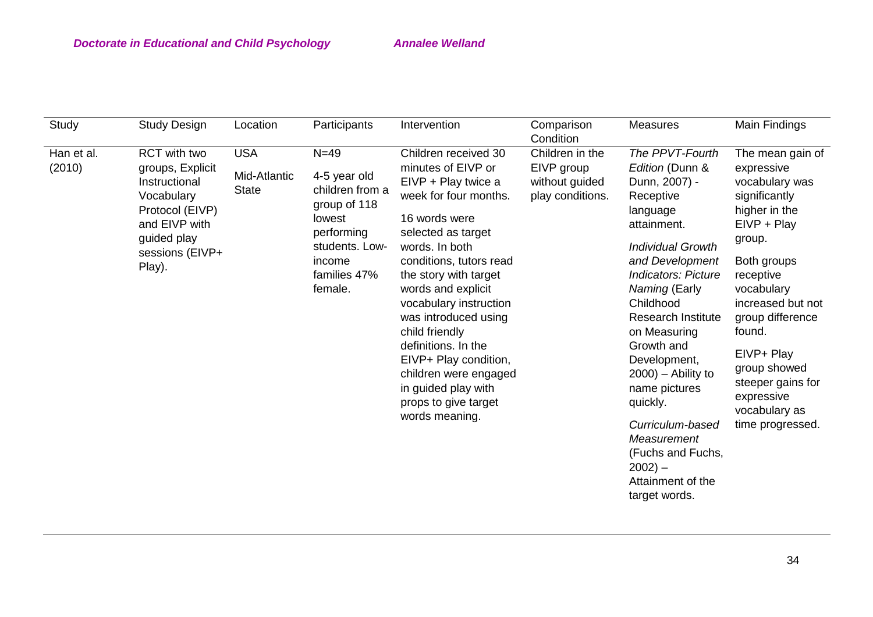| Study                | Study Design                                                                                                                                    | Location                                   | Participants                                                                                                                             | Intervention                                                                                                                                                                                                                                                                                                                                                                                                                                | Comparison<br>Condition                                             | <b>Measures</b>                                                                                                                                                                                                                                                                                                                                                                                                                                     | Main Findings                                                                                                                                                                                                                                                                                                    |
|----------------------|-------------------------------------------------------------------------------------------------------------------------------------------------|--------------------------------------------|------------------------------------------------------------------------------------------------------------------------------------------|---------------------------------------------------------------------------------------------------------------------------------------------------------------------------------------------------------------------------------------------------------------------------------------------------------------------------------------------------------------------------------------------------------------------------------------------|---------------------------------------------------------------------|-----------------------------------------------------------------------------------------------------------------------------------------------------------------------------------------------------------------------------------------------------------------------------------------------------------------------------------------------------------------------------------------------------------------------------------------------------|------------------------------------------------------------------------------------------------------------------------------------------------------------------------------------------------------------------------------------------------------------------------------------------------------------------|
| Han et al.<br>(2010) | RCT with two<br>groups, Explicit<br>Instructional<br>Vocabulary<br>Protocol (EIVP)<br>and EIVP with<br>guided play<br>sessions (EIVP+<br>Play). | <b>USA</b><br>Mid-Atlantic<br><b>State</b> | $N=49$<br>4-5 year old<br>children from a<br>group of 118<br>lowest<br>performing<br>students. Low-<br>income<br>families 47%<br>female. | Children received 30<br>minutes of EIVP or<br>EIVP + Play twice a<br>week for four months.<br>16 words were<br>selected as target<br>words. In both<br>conditions, tutors read<br>the story with target<br>words and explicit<br>vocabulary instruction<br>was introduced using<br>child friendly<br>definitions. In the<br>EIVP+ Play condition,<br>children were engaged<br>in guided play with<br>props to give target<br>words meaning. | Children in the<br>EIVP group<br>without guided<br>play conditions. | The PPVT-Fourth<br>Edition (Dunn &<br>Dunn, 2007) -<br>Receptive<br>language<br>attainment.<br><b>Individual Growth</b><br>and Development<br><b>Indicators: Picture</b><br>Naming (Early<br>Childhood<br><b>Research Institute</b><br>on Measuring<br>Growth and<br>Development,<br>$(2000)$ – Ability to<br>name pictures<br>quickly.<br>Curriculum-based<br>Measurement<br>(Fuchs and Fuchs,<br>$2002$ ) –<br>Attainment of the<br>target words. | The mean gain of<br>expressive<br>vocabulary was<br>significantly<br>higher in the<br>$EIVP + Play$<br>group.<br>Both groups<br>receptive<br>vocabulary<br>increased but not<br>group difference<br>found.<br>EIVP+ Play<br>group showed<br>steeper gains for<br>expressive<br>vocabulary as<br>time progressed. |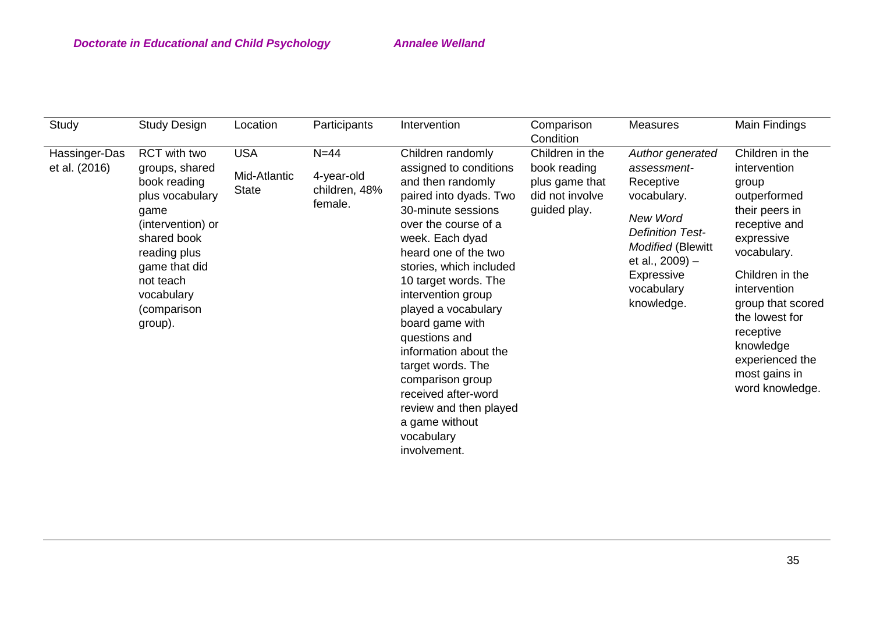| Study                          | <b>Study Design</b>                                                                                                                                                                                 | Location                                   | Participants                                     | Intervention                                                                                                                                                                                                                                                                                                                                                                                                                                                                               | Comparison<br>Condition                                                              | <b>Measures</b>                                                                                                                                                                                | Main Findings                                                                                                                                                                                                                                                                       |
|--------------------------------|-----------------------------------------------------------------------------------------------------------------------------------------------------------------------------------------------------|--------------------------------------------|--------------------------------------------------|--------------------------------------------------------------------------------------------------------------------------------------------------------------------------------------------------------------------------------------------------------------------------------------------------------------------------------------------------------------------------------------------------------------------------------------------------------------------------------------------|--------------------------------------------------------------------------------------|------------------------------------------------------------------------------------------------------------------------------------------------------------------------------------------------|-------------------------------------------------------------------------------------------------------------------------------------------------------------------------------------------------------------------------------------------------------------------------------------|
| Hassinger-Das<br>et al. (2016) | RCT with two<br>groups, shared<br>book reading<br>plus vocabulary<br>game<br>(intervention) or<br>shared book<br>reading plus<br>game that did<br>not teach<br>vocabulary<br>(comparison<br>group). | <b>USA</b><br>Mid-Atlantic<br><b>State</b> | $N=44$<br>4-year-old<br>children, 48%<br>female. | Children randomly<br>assigned to conditions<br>and then randomly<br>paired into dyads. Two<br>30-minute sessions<br>over the course of a<br>week. Each dyad<br>heard one of the two<br>stories, which included<br>10 target words. The<br>intervention group<br>played a vocabulary<br>board game with<br>questions and<br>information about the<br>target words. The<br>comparison group<br>received after-word<br>review and then played<br>a game without<br>vocabulary<br>involvement. | Children in the<br>book reading<br>plus game that<br>did not involve<br>guided play. | Author generated<br>assessment-<br>Receptive<br>vocabulary.<br>New Word<br><b>Definition Test-</b><br><b>Modified (Blewitt</b><br>et al., $2009$ ) –<br>Expressive<br>vocabulary<br>knowledge. | Children in the<br>intervention<br>group<br>outperformed<br>their peers in<br>receptive and<br>expressive<br>vocabulary.<br>Children in the<br>intervention<br>group that scored<br>the lowest for<br>receptive<br>knowledge<br>experienced the<br>most gains in<br>word knowledge. |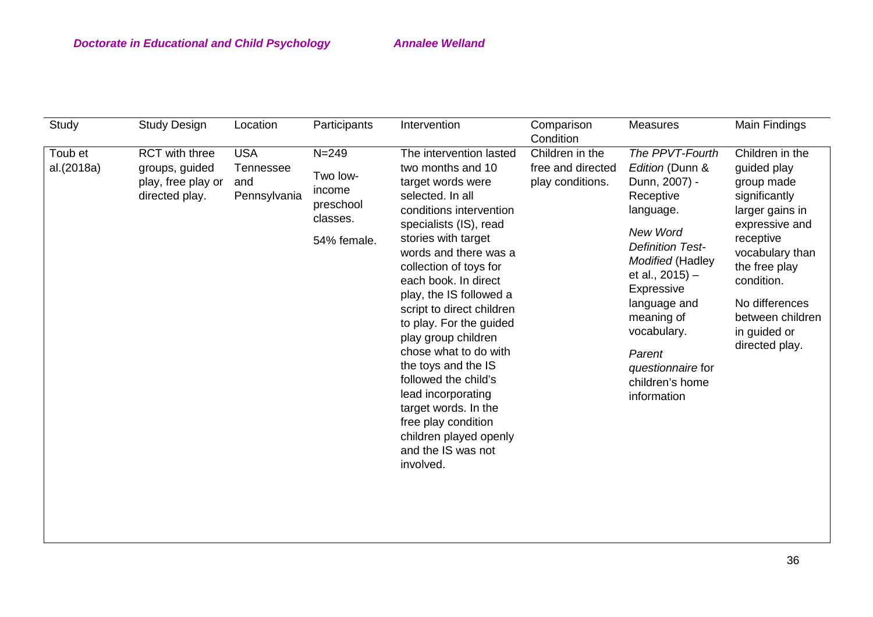| Study                 | <b>Study Design</b>                                                      | Location                                       | Participants                                                            | Intervention                                                                                                                                                                                                                                                                                                                                                                                                                                                                                                                                                     | Comparison<br>Condition                                  | <b>Measures</b>                                                                                                                                                                                                                                                                            | Main Findings                                                                                                                                                                                                                             |
|-----------------------|--------------------------------------------------------------------------|------------------------------------------------|-------------------------------------------------------------------------|------------------------------------------------------------------------------------------------------------------------------------------------------------------------------------------------------------------------------------------------------------------------------------------------------------------------------------------------------------------------------------------------------------------------------------------------------------------------------------------------------------------------------------------------------------------|----------------------------------------------------------|--------------------------------------------------------------------------------------------------------------------------------------------------------------------------------------------------------------------------------------------------------------------------------------------|-------------------------------------------------------------------------------------------------------------------------------------------------------------------------------------------------------------------------------------------|
| Toub et<br>al.(2018a) | RCT with three<br>groups, guided<br>play, free play or<br>directed play. | <b>USA</b><br>Tennessee<br>and<br>Pennsylvania | $N = 249$<br>Two low-<br>income<br>preschool<br>classes.<br>54% female. | The intervention lasted<br>two months and 10<br>target words were<br>selected. In all<br>conditions intervention<br>specialists (IS), read<br>stories with target<br>words and there was a<br>collection of toys for<br>each book. In direct<br>play, the IS followed a<br>script to direct children<br>to play. For the guided<br>play group children<br>chose what to do with<br>the toys and the IS<br>followed the child's<br>lead incorporating<br>target words. In the<br>free play condition<br>children played openly<br>and the IS was not<br>involved. | Children in the<br>free and directed<br>play conditions. | The PPVT-Fourth<br>Edition (Dunn &<br>Dunn, 2007) -<br>Receptive<br>language.<br>New Word<br><b>Definition Test-</b><br>Modified (Hadley<br>et al., $2015$ ) –<br>Expressive<br>language and<br>meaning of<br>vocabulary.<br>Parent<br>questionnaire for<br>children's home<br>information | Children in the<br>guided play<br>group made<br>significantly<br>larger gains in<br>expressive and<br>receptive<br>vocabulary than<br>the free play<br>condition.<br>No differences<br>between children<br>in guided or<br>directed play. |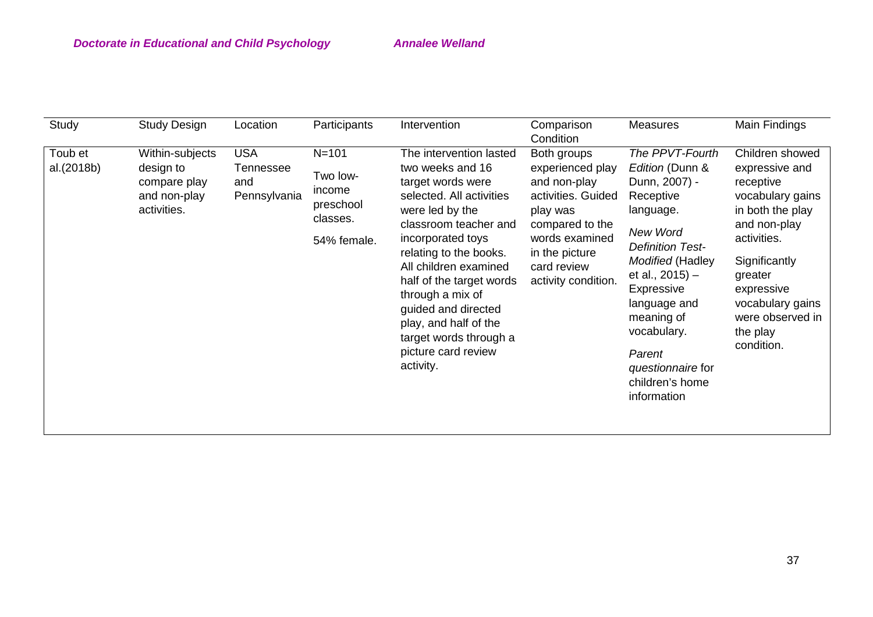| Study                 | <b>Study Design</b>                                                         | Location                                       | Participants                                                            | Intervention                                                                                                                                                                                                                                                                                                                                                                   | Comparison<br>Condition                                                                                                                                                        | <b>Measures</b>                                                                                                                                                                                                                                                                                | Main Findings                                                                                                                                                                                                                     |
|-----------------------|-----------------------------------------------------------------------------|------------------------------------------------|-------------------------------------------------------------------------|--------------------------------------------------------------------------------------------------------------------------------------------------------------------------------------------------------------------------------------------------------------------------------------------------------------------------------------------------------------------------------|--------------------------------------------------------------------------------------------------------------------------------------------------------------------------------|------------------------------------------------------------------------------------------------------------------------------------------------------------------------------------------------------------------------------------------------------------------------------------------------|-----------------------------------------------------------------------------------------------------------------------------------------------------------------------------------------------------------------------------------|
| Toub et<br>al.(2018b) | Within-subjects<br>design to<br>compare play<br>and non-play<br>activities. | <b>USA</b><br>Tennessee<br>and<br>Pennsylvania | $N = 101$<br>Two low-<br>income<br>preschool<br>classes.<br>54% female. | The intervention lasted<br>two weeks and 16<br>target words were<br>selected. All activities<br>were led by the<br>classroom teacher and<br>incorporated toys<br>relating to the books.<br>All children examined<br>half of the target words<br>through a mix of<br>guided and directed<br>play, and half of the<br>target words through a<br>picture card review<br>activity. | Both groups<br>experienced play<br>and non-play<br>activities. Guided<br>play was<br>compared to the<br>words examined<br>in the picture<br>card review<br>activity condition. | The PPVT-Fourth<br>Edition (Dunn &<br>Dunn, 2007) -<br>Receptive<br>language.<br>New Word<br><b>Definition Test-</b><br><b>Modified (Hadley</b><br>et al., 2015) -<br>Expressive<br>language and<br>meaning of<br>vocabulary.<br>Parent<br>questionnaire for<br>children's home<br>information | Children showed<br>expressive and<br>receptive<br>vocabulary gains<br>in both the play<br>and non-play<br>activities.<br>Significantly<br>greater<br>expressive<br>vocabulary gains<br>were observed in<br>the play<br>condition. |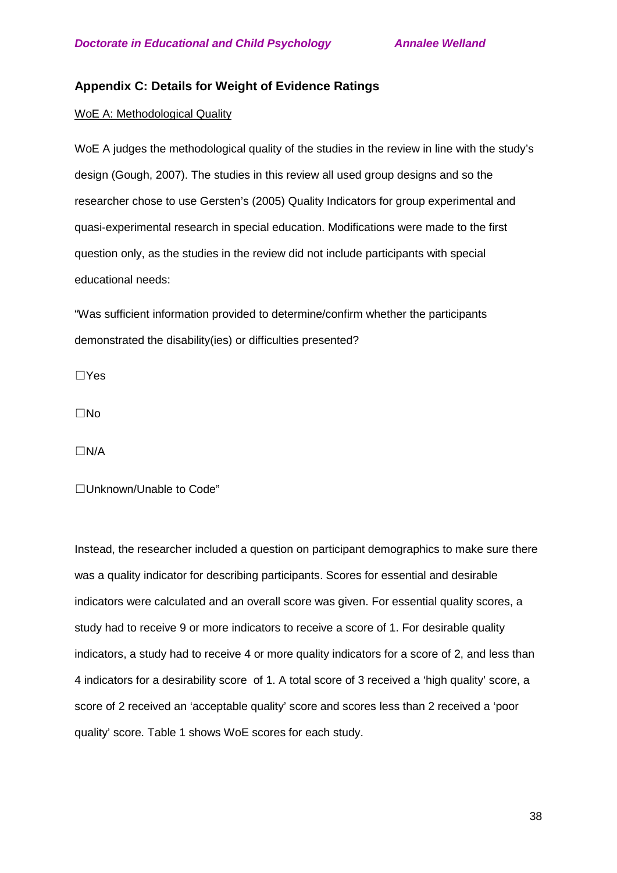## **Appendix C: Details for Weight of Evidence Ratings**

#### WoE A: Methodological Quality

WoE A judges the methodological quality of the studies in the review in line with the study's design (Gough, 2007). The studies in this review all used group designs and so the researcher chose to use Gersten's (2005) Quality Indicators for group experimental and quasi-experimental research in special education. Modifications were made to the first question only, as the studies in the review did not include participants with special educational needs:

"Was sufficient information provided to determine/confirm whether the participants demonstrated the disability(ies) or difficulties presented?

☐Yes

☐No

☐N/A

☐Unknown/Unable to Code"

Instead, the researcher included a question on participant demographics to make sure there was a quality indicator for describing participants. Scores for essential and desirable indicators were calculated and an overall score was given. For essential quality scores, a study had to receive 9 or more indicators to receive a score of 1. For desirable quality indicators, a study had to receive 4 or more quality indicators for a score of 2, and less than 4 indicators for a desirability score of 1. A total score of 3 received a 'high quality' score, a score of 2 received an 'acceptable quality' score and scores less than 2 received a 'poor quality' score. Table 1 shows WoE scores for each study.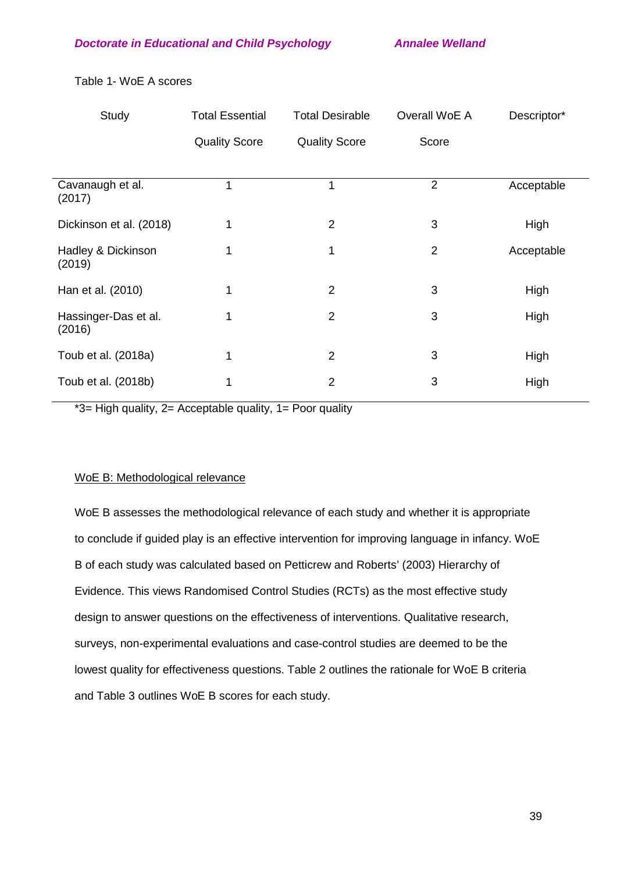| Study                          | <b>Total Essential</b> | <b>Total Desirable</b> | Overall WoE A  | Descriptor* |
|--------------------------------|------------------------|------------------------|----------------|-------------|
|                                | <b>Quality Score</b>   | <b>Quality Score</b>   | Score          |             |
|                                |                        |                        |                |             |
| Cavanaugh et al.<br>(2017)     |                        | 1                      | $\overline{2}$ | Acceptable  |
| Dickinson et al. (2018)        | 1                      | $\overline{2}$         | 3              | High        |
| Hadley & Dickinson<br>(2019)   | 1                      | 1                      | $\overline{2}$ | Acceptable  |
| Han et al. (2010)              | 1                      | $\overline{2}$         | 3              | High        |
| Hassinger-Das et al.<br>(2016) | 1                      | $\overline{2}$         | 3              | High        |
| Toub et al. (2018a)            | 1                      | $\overline{2}$         | 3              | High        |
| Toub et al. (2018b)            | 1                      | $\overline{2}$         | 3              | High        |

Table 1- WoE A scores

\*3= High quality, 2= Acceptable quality, 1= Poor quality

#### WoE B: Methodological relevance

WoE B assesses the methodological relevance of each study and whether it is appropriate to conclude if guided play is an effective intervention for improving language in infancy. WoE B of each study was calculated based on Petticrew and Roberts' (2003) Hierarchy of Evidence. This views Randomised Control Studies (RCTs) as the most effective study design to answer questions on the effectiveness of interventions. Qualitative research, surveys, non-experimental evaluations and case-control studies are deemed to be the lowest quality for effectiveness questions. Table 2 outlines the rationale for WoE B criteria and Table 3 outlines WoE B scores for each study.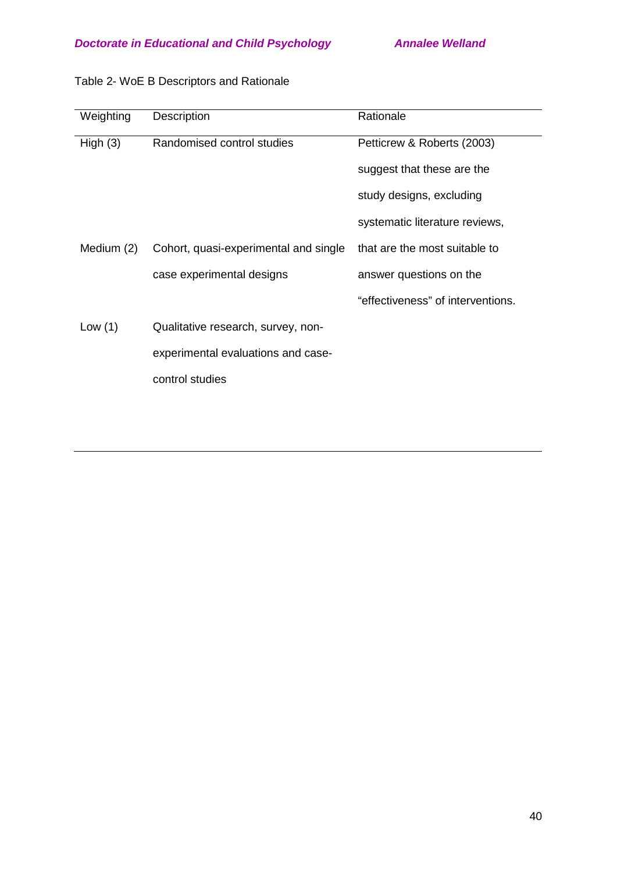| Weighting  | Description                           | Rationale                         |
|------------|---------------------------------------|-----------------------------------|
| High(3)    | Randomised control studies            | Petticrew & Roberts (2003)        |
|            |                                       | suggest that these are the        |
|            |                                       | study designs, excluding          |
|            |                                       | systematic literature reviews,    |
| Medium (2) | Cohort, quasi-experimental and single | that are the most suitable to     |
|            | case experimental designs             | answer questions on the           |
|            |                                       | "effectiveness" of interventions. |
| Low $(1)$  | Qualitative research, survey, non-    |                                   |
|            | experimental evaluations and case-    |                                   |
|            | control studies                       |                                   |
|            |                                       |                                   |

# Table 2- WoE B Descriptors and Rationale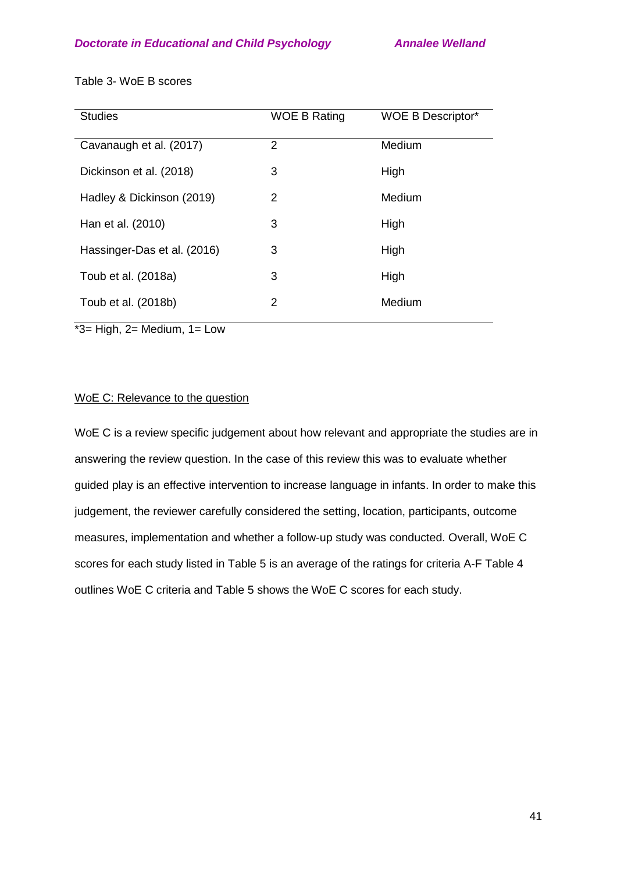| <b>Studies</b>              | <b>WOE B Rating</b> | <b>WOE B Descriptor*</b> |
|-----------------------------|---------------------|--------------------------|
| Cavanaugh et al. (2017)     | 2                   | Medium                   |
| Dickinson et al. (2018)     | 3                   | High                     |
| Hadley & Dickinson (2019)   | 2                   | Medium                   |
| Han et al. (2010)           | 3                   | High                     |
| Hassinger-Das et al. (2016) | 3                   | High                     |
| Toub et al. (2018a)         | 3                   | High                     |
| Toub et al. (2018b)         | 2                   | Medium                   |

Table 3- WoE B scores

 $*3=$  High, 2= Medium, 1= Low

## WoE C: Relevance to the question

WoE C is a review specific judgement about how relevant and appropriate the studies are in answering the review question. In the case of this review this was to evaluate whether guided play is an effective intervention to increase language in infants. In order to make this judgement, the reviewer carefully considered the setting, location, participants, outcome measures, implementation and whether a follow-up study was conducted. Overall, WoE C scores for each study listed in Table 5 is an average of the ratings for criteria A-F Table 4 outlines WoE C criteria and Table 5 shows the WoE C scores for each study.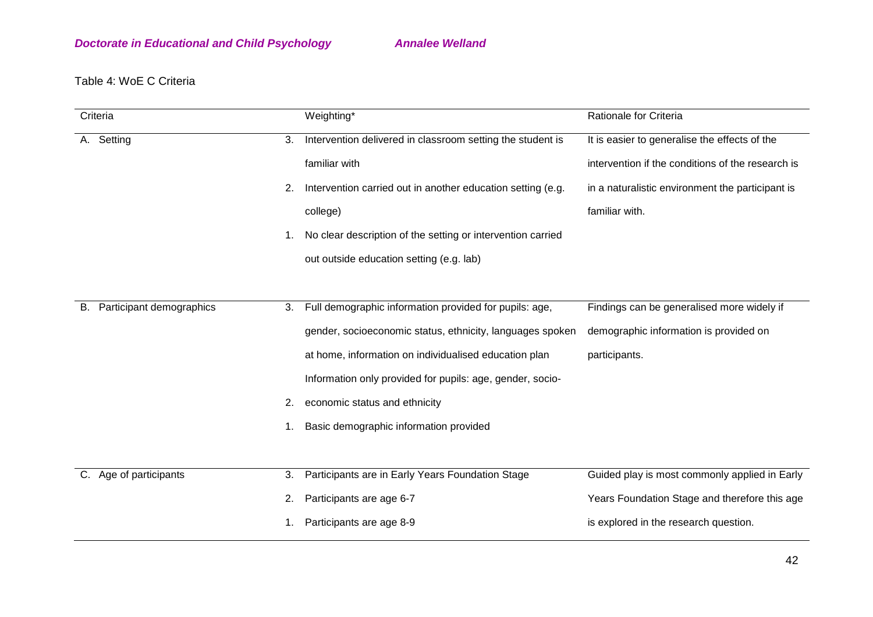# Table 4: WoE C Criteria

|             | Criteria                 |    | Weighting*                                                  | Rationale for Criteria                            |
|-------------|--------------------------|----|-------------------------------------------------------------|---------------------------------------------------|
|             | A. Setting               | 3. | Intervention delivered in classroom setting the student is  | It is easier to generalise the effects of the     |
|             |                          |    | familiar with                                               | intervention if the conditions of the research is |
|             |                          | 2. | Intervention carried out in another education setting (e.g. | in a naturalistic environment the participant is  |
|             |                          |    | college)                                                    | familiar with.                                    |
|             |                          | 1. | No clear description of the setting or intervention carried |                                                   |
|             |                          |    | out outside education setting (e.g. lab)                    |                                                   |
|             |                          |    |                                                             |                                                   |
| В.          | Participant demographics | 3. | Full demographic information provided for pupils: age,      | Findings can be generalised more widely if        |
|             |                          |    | gender, socioeconomic status, ethnicity, languages spoken   | demographic information is provided on            |
|             |                          |    | at home, information on individualised education plan       | participants.                                     |
|             |                          |    | Information only provided for pupils: age, gender, socio-   |                                                   |
|             |                          | 2. | economic status and ethnicity                               |                                                   |
|             |                          | 1. | Basic demographic information provided                      |                                                   |
|             |                          |    |                                                             |                                                   |
| $C_{\cdot}$ | Age of participants      | 3. | Participants are in Early Years Foundation Stage            | Guided play is most commonly applied in Early     |
|             |                          | 2. | Participants are age 6-7                                    | Years Foundation Stage and therefore this age     |
|             |                          |    | Participants are age 8-9                                    | is explored in the research question.             |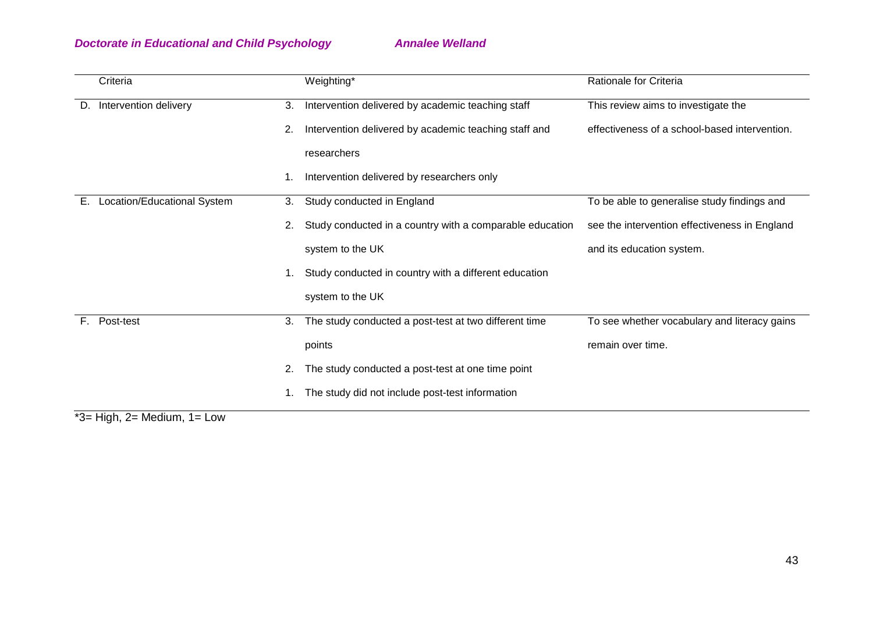|    | Criteria                                                                                                                                                                                                                                                                                                                                |                | Weighting*                                               | Rationale for Criteria                        |
|----|-----------------------------------------------------------------------------------------------------------------------------------------------------------------------------------------------------------------------------------------------------------------------------------------------------------------------------------------|----------------|----------------------------------------------------------|-----------------------------------------------|
| D. | Intervention delivery                                                                                                                                                                                                                                                                                                                   | 3.             | Intervention delivered by academic teaching staff        | This review aims to investigate the           |
|    |                                                                                                                                                                                                                                                                                                                                         | 2.             | Intervention delivered by academic teaching staff and    | effectiveness of a school-based intervention. |
|    |                                                                                                                                                                                                                                                                                                                                         |                | researchers                                              |                                               |
|    |                                                                                                                                                                                                                                                                                                                                         | $\mathbf{1}$ . | Intervention delivered by researchers only               |                                               |
| Е. | Location/Educational System                                                                                                                                                                                                                                                                                                             | 3.             | Study conducted in England                               | To be able to generalise study findings and   |
|    |                                                                                                                                                                                                                                                                                                                                         | 2.             | Study conducted in a country with a comparable education | see the intervention effectiveness in England |
|    |                                                                                                                                                                                                                                                                                                                                         |                | system to the UK                                         | and its education system.                     |
|    |                                                                                                                                                                                                                                                                                                                                         | 1.             | Study conducted in country with a different education    |                                               |
|    |                                                                                                                                                                                                                                                                                                                                         |                | system to the UK                                         |                                               |
| E. | Post-test                                                                                                                                                                                                                                                                                                                               | 3.             | The study conducted a post-test at two different time    | To see whether vocabulary and literacy gains  |
|    |                                                                                                                                                                                                                                                                                                                                         |                | points                                                   | remain over time.                             |
|    |                                                                                                                                                                                                                                                                                                                                         | 2.             | The study conducted a post-test at one time point        |                                               |
|    | $*$ $\Omega$ if $\Omega$ is $\Omega$ is $\Omega$ is $\Omega$ in $\Omega$ if $\Omega$ is $\Omega$ if $\Omega$ is $\Omega$ if $\Omega$ is $\Omega$ if $\Omega$ is $\Omega$ if $\Omega$ is $\Omega$ is $\Omega$ is $\Omega$ is $\Omega$ is $\Omega$ is $\Omega$ is $\Omega$ is $\Omega$ is $\Omega$ is $\Omega$ is $\Omega$ is $\Omega$ is |                | The study did not include post-test information          |                                               |

\*3= High, 2= Medium, 1= Low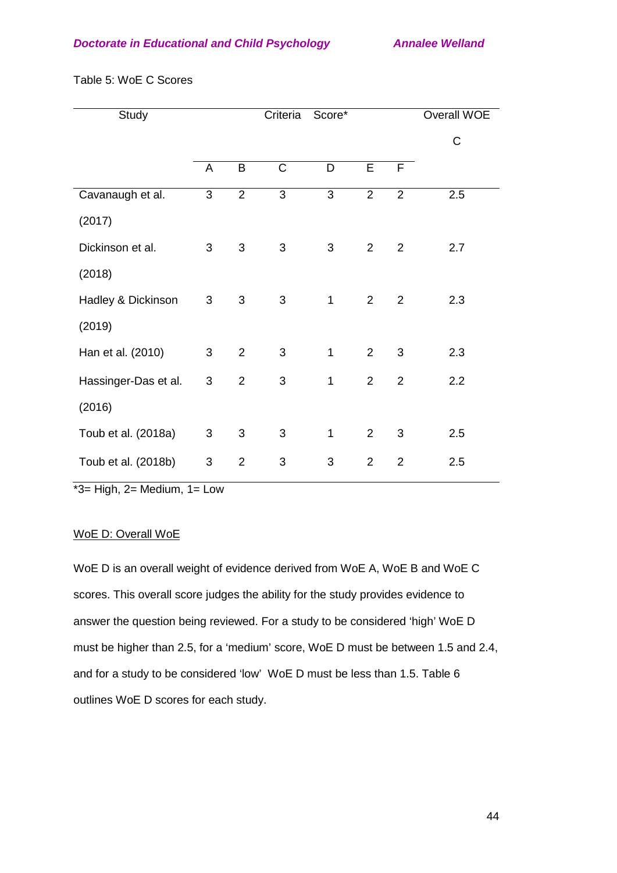| Study                |   |                | Criteria       | Score*         |                |                | Overall WOE |
|----------------------|---|----------------|----------------|----------------|----------------|----------------|-------------|
|                      |   |                |                |                |                |                | C           |
|                      | A | B              | $\mathsf C$    | D              | E              | F              |             |
| Cavanaugh et al.     | 3 | $\overline{2}$ | 3              | 3              | 2              | $\overline{2}$ | 2.5         |
| (2017)               |   |                |                |                |                |                |             |
| Dickinson et al.     | 3 | 3              | 3              | 3              | $\overline{2}$ | $\overline{2}$ | 2.7         |
| (2018)               |   |                |                |                |                |                |             |
| Hadley & Dickinson   | 3 | 3              | 3              | $\mathbf{1}$   | $\overline{2}$ | $\overline{2}$ | 2.3         |
| (2019)               |   |                |                |                |                |                |             |
| Han et al. (2010)    | 3 | $\overline{2}$ | 3              | $\mathbf 1$    | $\overline{2}$ | 3              | 2.3         |
| Hassinger-Das et al. | 3 | $\overline{2}$ | 3              | 1              | 2              | $\overline{2}$ | 2.2         |
| (2016)               |   |                |                |                |                |                |             |
| Toub et al. (2018a)  | 3 | 3              | $\mathfrak{S}$ | 1              | $\overline{2}$ | 3              | 2.5         |
| Toub et al. (2018b)  | 3 | $\overline{2}$ | 3              | $\mathfrak{B}$ | $\overline{2}$ | $\overline{2}$ | 2.5         |

Table 5: WoE C Scores

 $*3=$  High, 2= Medium, 1= Low

#### WoE D: Overall WoE

WoE D is an overall weight of evidence derived from WoE A, WoE B and WoE C scores. This overall score judges the ability for the study provides evidence to answer the question being reviewed. For a study to be considered 'high' WoE D must be higher than 2.5, for a 'medium' score, WoE D must be between 1.5 and 2.4, and for a study to be considered 'low' WoE D must be less than 1.5. Table 6 outlines WoE D scores for each study.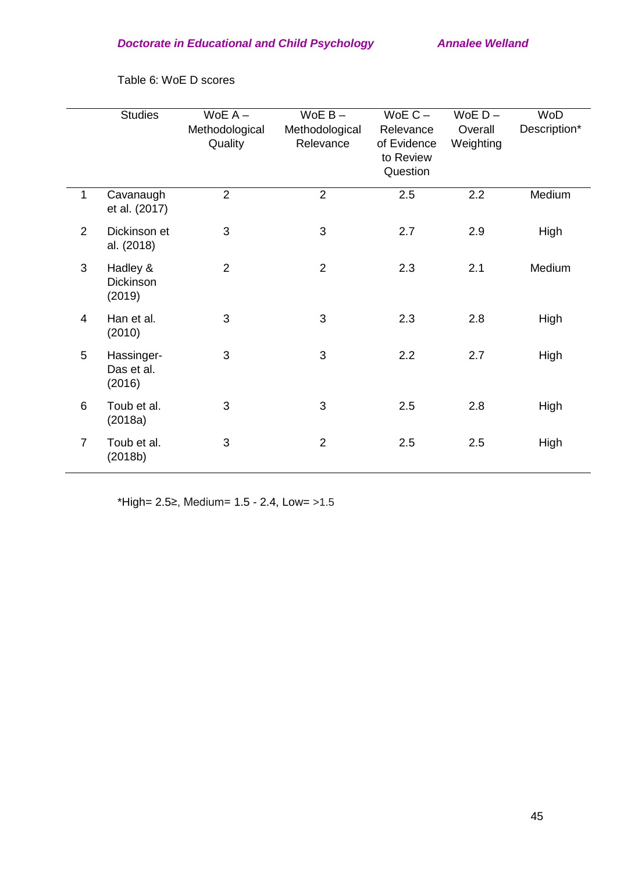|                | <b>Studies</b>                         | $WoE A -$<br>Methodological<br>Quality | $WoE B -$<br>Methodological<br>Relevance | $WoE C -$<br>Relevance<br>of Evidence<br>to Review<br>Question | $WoE D -$<br>Overall<br>Weighting | WoD<br>Description* |
|----------------|----------------------------------------|----------------------------------------|------------------------------------------|----------------------------------------------------------------|-----------------------------------|---------------------|
| $\mathbf{1}$   | Cavanaugh<br>et al. (2017)             | $\overline{2}$                         | $\overline{2}$                           | 2.5                                                            | 2.2                               | Medium              |
| $\overline{2}$ | Dickinson et<br>al. (2018)             | 3                                      | $\mathfrak{S}$                           | 2.7                                                            | 2.9                               | High                |
| 3              | Hadley &<br><b>Dickinson</b><br>(2019) | $\overline{2}$                         | $\overline{2}$                           | 2.3                                                            | 2.1                               | Medium              |
| $\overline{4}$ | Han et al.<br>(2010)                   | 3                                      | 3                                        | 2.3                                                            | 2.8                               | High                |
| 5              | Hassinger-<br>Das et al.<br>(2016)     | 3                                      | 3                                        | 2.2                                                            | 2.7                               | High                |
| 6              | Toub et al.<br>(2018a)                 | 3                                      | 3                                        | 2.5                                                            | 2.8                               | High                |
| $\overline{7}$ | Toub et al.<br>(2018b)                 | 3                                      | $\overline{2}$                           | 2.5                                                            | 2.5                               | High                |

Table 6: WoE D scores

\*High= 2.5≥, Medium= 1.5 - 2.4, Low= >1.5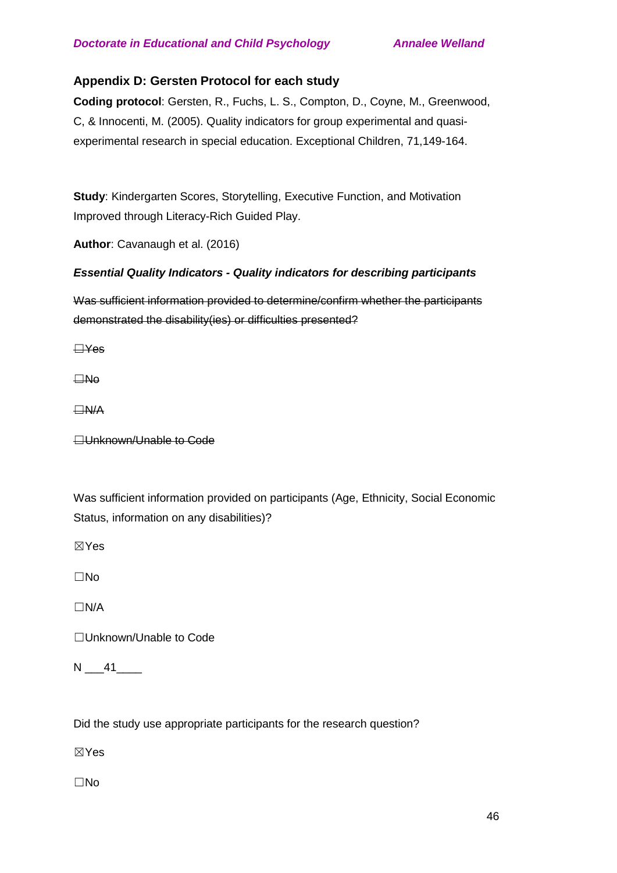# **Appendix D: Gersten Protocol for each study**

**Coding protocol**: Gersten, R., Fuchs, L. S., Compton, D., Coyne, M., Greenwood, C, & Innocenti, M. (2005). Quality indicators for group experimental and quasiexperimental research in special education. Exceptional Children, 71,149-164.

**Study**: Kindergarten Scores, Storytelling, Executive Function, and Motivation Improved through Literacy-Rich Guided Play.

**Author**: Cavanaugh et al. (2016)

## *Essential Quality Indicators - Quality indicators for describing participants*

Was sufficient information provided to determine/confirm whether the participants demonstrated the disability(ies) or difficulties presented?

☐Yes

☐No

☐N/A

**□Unknown/Unable to Code** 

Was sufficient information provided on participants (Age, Ethnicity, Social Economic Status, information on any disabilities)?

☒Yes

☐No

☐N/A

☐Unknown/Unable to Code

 $N = 41$ 

Did the study use appropriate participants for the research question?

☒Yes

☐No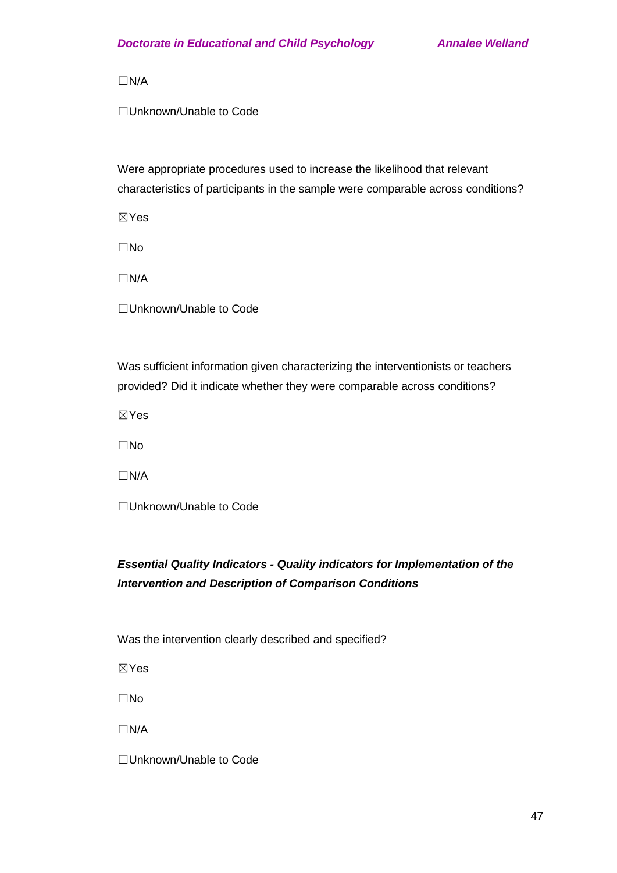☐N/A

☐Unknown/Unable to Code

Were appropriate procedures used to increase the likelihood that relevant characteristics of participants in the sample were comparable across conditions?

☒Yes

☐No

☐N/A

☐Unknown/Unable to Code

Was sufficient information given characterizing the interventionists or teachers provided? Did it indicate whether they were comparable across conditions?

☒Yes

☐No

☐N/A

☐Unknown/Unable to Code

# *Essential Quality Indicators - Quality indicators for Implementation of the Intervention and Description of Comparison Conditions*

Was the intervention clearly described and specified?

☒Yes

☐No

☐N/A

☐Unknown/Unable to Code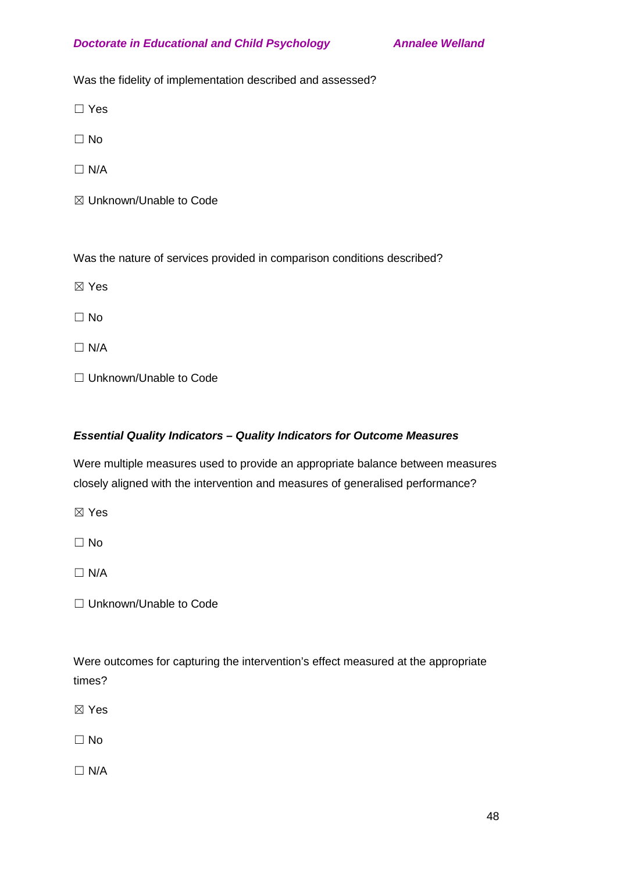Was the fidelity of implementation described and assessed?

☐ Yes

☐ No

 $\Box$  N/A

☒ Unknown/Unable to Code

Was the nature of services provided in comparison conditions described?

☒ Yes

☐ No

 $\Box$  N/A

□ Unknown/Unable to Code

# *Essential Quality Indicators – Quality Indicators for Outcome Measures*

Were multiple measures used to provide an appropriate balance between measures closely aligned with the intervention and measures of generalised performance?

☒ Yes

☐ No

 $\Box$  N/A

☐ Unknown/Unable to Code

Were outcomes for capturing the intervention's effect measured at the appropriate times?

☒ Yes

☐ No

 $\Box$  N/A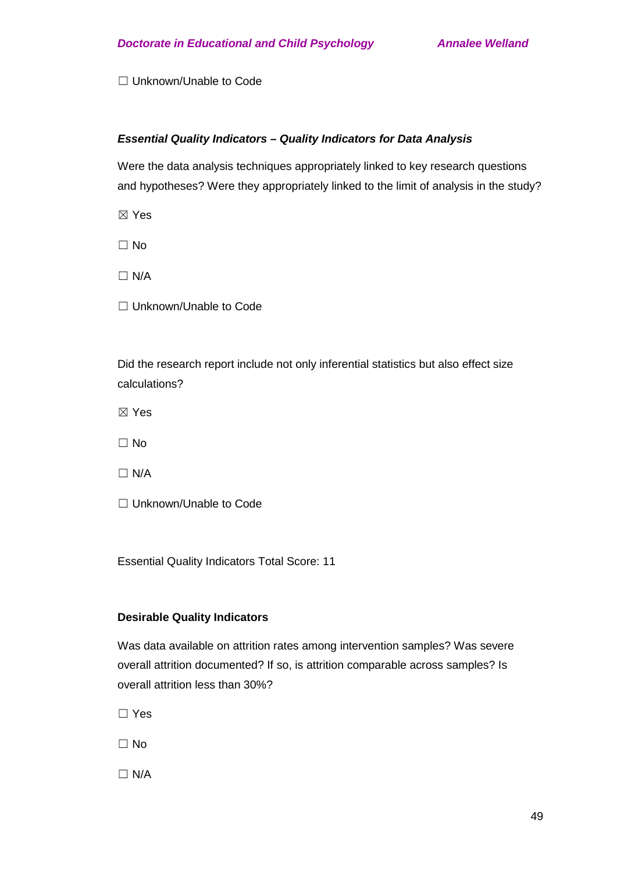□ Unknown/Unable to Code

## *Essential Quality Indicators – Quality Indicators for Data Analysis*

Were the data analysis techniques appropriately linked to key research questions and hypotheses? Were they appropriately linked to the limit of analysis in the study?

☒ Yes

 $\Box$  No

 $\Box$  N/A

☐ Unknown/Unable to Code

Did the research report include not only inferential statistics but also effect size calculations?

- ☒ Yes
- ☐ No
- $\Box$  N/A
- □ Unknown/Unable to Code

Essential Quality Indicators Total Score: 11

## **Desirable Quality Indicators**

Was data available on attrition rates among intervention samples? Was severe overall attrition documented? If so, is attrition comparable across samples? Is overall attrition less than 30%?

☐ Yes

 $\Box$  No

 $\Box$  N/A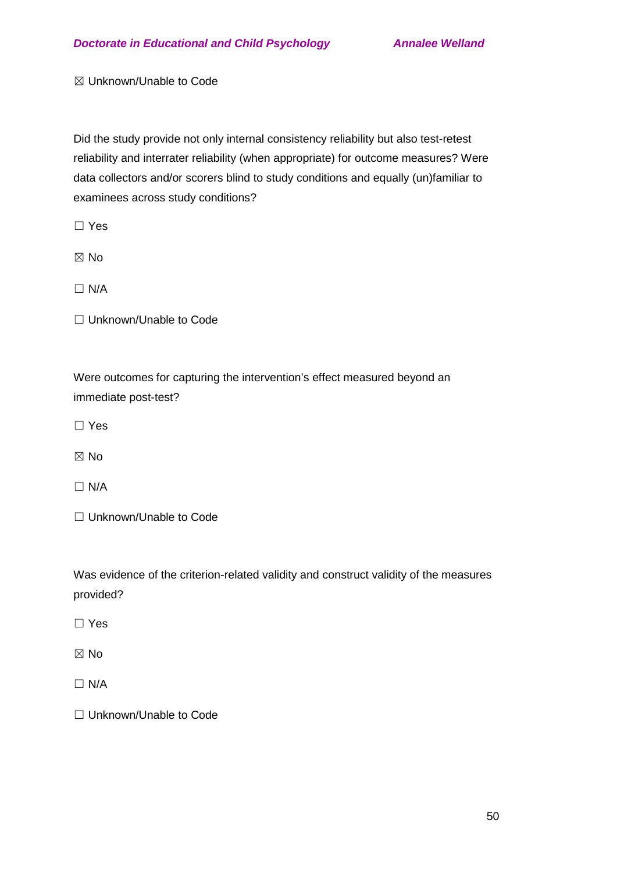☒ Unknown/Unable to Code

Did the study provide not only internal consistency reliability but also test-retest reliability and interrater reliability (when appropriate) for outcome measures? Were data collectors and/or scorers blind to study conditions and equally (un)familiar to examinees across study conditions?

☐ Yes

☒ No

☐ N/A

□ Unknown/Unable to Code

Were outcomes for capturing the intervention's effect measured beyond an immediate post-test?

☐ Yes

☒ No

 $\Box$  N/A

□ Unknown/Unable to Code

Was evidence of the criterion-related validity and construct validity of the measures provided?

☐ Yes

 $\boxtimes$  No

 $\Box$  N/A

☐ Unknown/Unable to Code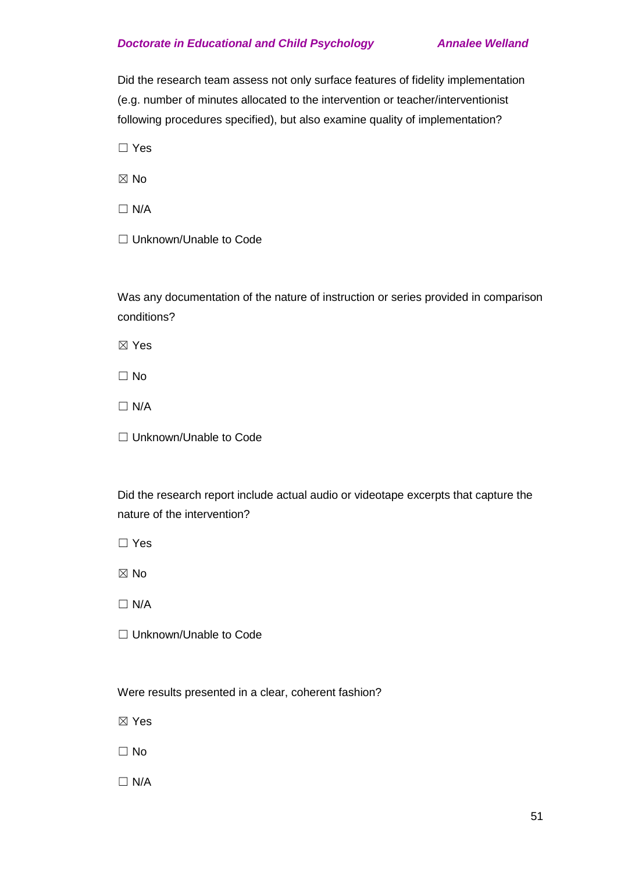Did the research team assess not only surface features of fidelity implementation (e.g. number of minutes allocated to the intervention or teacher/interventionist following procedures specified), but also examine quality of implementation?

☐ Yes

☒ No

 $\Box$  N/A

□ Unknown/Unable to Code

Was any documentation of the nature of instruction or series provided in comparison conditions?

☒ Yes

☐ No

 $\Box$  N/A

□ Unknown/Unable to Code

Did the research report include actual audio or videotape excerpts that capture the nature of the intervention?

☐ Yes

☒ No

☐ N/A

☐ Unknown/Unable to Code

Were results presented in a clear, coherent fashion?

☒ Yes

☐ No

 $\Box$  N/A